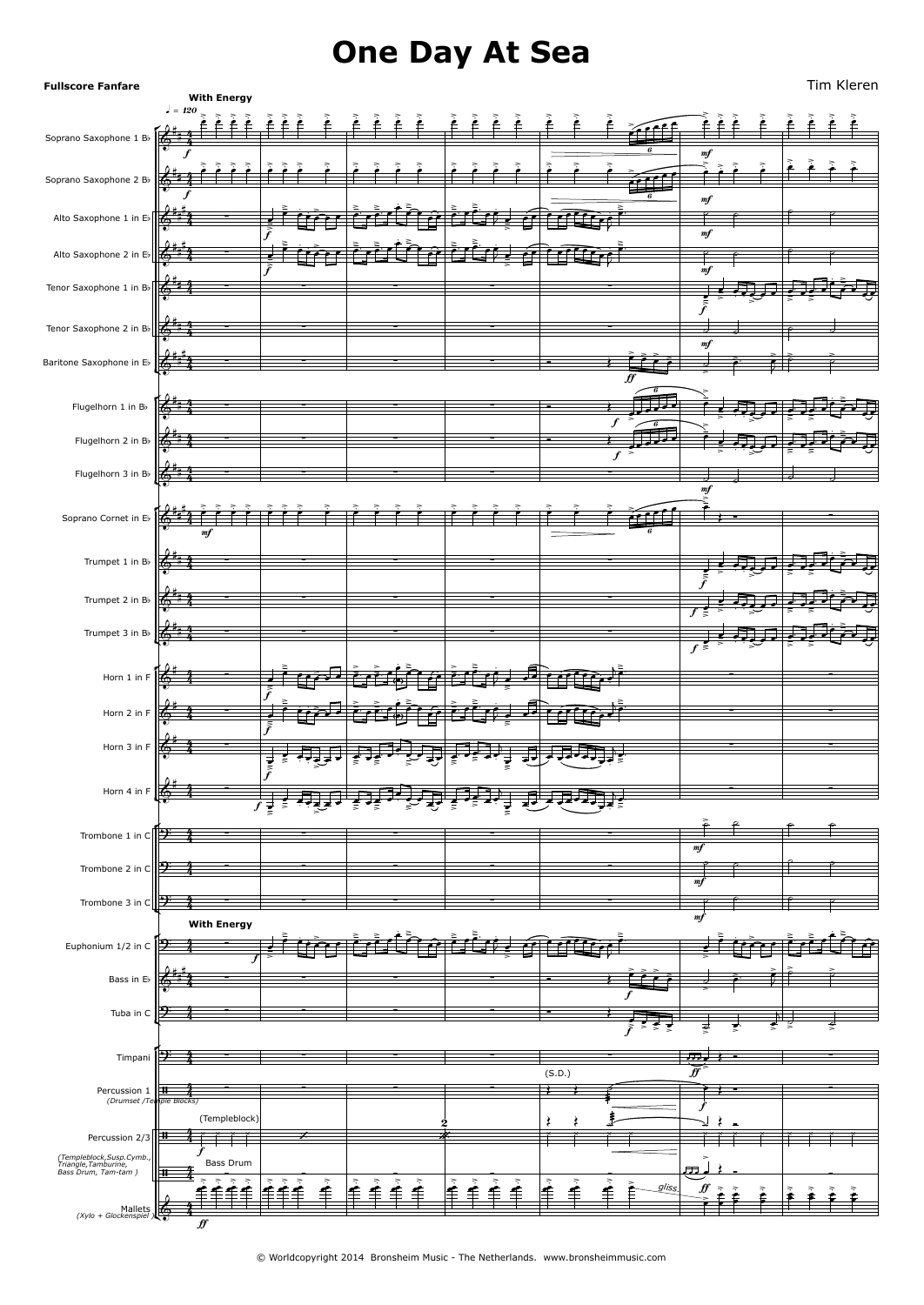# **One Day At Sea**

Soprano Cornet in Eb  $\left[\begin{array}{cc} \overline{4} & \overline{1} & \overline{1} & \overline{1} & \overline{1} & \overline{1} & \overline{1} & \overline{1} & \overline{1} & \overline{1} & \overline{1} & \overline{1} & \overline{1} & \overline{1} & \overline{1} & \overline{1} & \overline{1} & \overline{1} & \overline{1} & \overline{1} & \overline{1} & \overline{1} & \overline{1} & \overline{1} & \overline{1} & \overline{1} & \overline{1} & \$  $\frac{6 \cdot 4}{6}$ Horn 4 in F  $\left[\begin{array}{cc} \begin{array}{ccc} \bullet & \bullet & \bullet \\ \bullet & \bullet & \end{array} & \begin{array}{ccc} \bullet & \bullet & \bullet \\ \bullet & \bullet & \end{array} \end{array}\right]$  $\overline{\mathbf{z}}$  $\sqrt{6}$   $\sqrt{4}$  $\int_{\Omega}$   $\int_{\Omega}$   $\int_{\Omega}$ Trombone 3 in C $\sqrt{2-4}$  $\sqrt{2}$  $(xy|o + \text{Glockenspiel})$ Soprano Saxophone 1 Bb  $\sqrt{\frac{2}{5}+\frac{2}{3}}$  $\sqrt{6}$   $\sqrt{4}$  $\sqrt{2}$  $\sqrt{4}$ **Fullscore Fanfare** Soprano Saxophone 2 Bb  $\frac{1}{\sqrt{2}}$ Alto Saxophone 1 in Eb $\mathbb{R}$ Alto Saxophone 2 in Eb $\mathbb{R}^{n+1}$ Tenor Saxophone 1 in Bb Tenor Saxophone 2 in Bb  $\mathbb{Z}^{\bullet\ast}$ Baritone Saxophone in Eb  $\mathbb{K}^{**}$ Flugelhorn 1 in Bb  $\left| \right|$ Flugelhorn 2 in Bb  $\left[\begin{array}{ccc} \stackrel{\bullet}{\bullet} & \stackrel{\bullet}{\bullet} & \stackrel{\bullet}{\bullet} \end{array}\right]$ Flugelhorn 3 in Bb  $\left[\begin{array}{ccc} \stackrel{a}{\leftarrow} & \stackrel{a}{\leftarrow} & \stackrel{a}{\leftarrow} \\ \stackrel{a}{\leftarrow} & \stackrel{a}{\leftarrow} & \stackrel{a}{\leftarrow} \end{array}\right]$ Trumpet 1 in Bb  $\frac{1}{2}$ Trumpet 2 in Bb  $\frac{1}{2}$ Trumpet 3 in Bb  $\left[\stackrel{\bullet}{\bullet}\stackrel{\bullet}{\bullet}\stackrel{\bullet}{\bullet}\stackrel{\bullet}{\bullet}\stackrel{\bullet}{\bullet}\right]$ Horn 1 in F  $\frac{1}{2}$ Horn 2 in F  $\mathbb{Z}^*$   $\mathbb{Z}$ Horn 3 in F  $\frac{1}{2}$ Trombone 1 in C $\mathbb{P}$   $\rightarrow$ Trombone 2 in C  $\sqrt{2}$   $\sqrt{2}$   $\sqrt{2}$ Euphonium 1/2 in C  $\mathbb{P}$  4 - -Bass in Eb  $\mathcal{K}^{\bullet}$ Tuba in C  $\sqrt{2}$   $\sqrt{2}$   $\sqrt{2}$   $\sqrt{2}$ TimpaniPercussion*(Drumset* $\overline{\textbf{H}}$ Percussion 2/3  $\left|\frac{\mathbf{H}}{\mathbf{H}}\right| \rightarrow \mathbf{F}$ f  $\frac{1}{\sqrt{2}}$  mf **With Energy**<br> $\int = 120$ f and  $\frac{1}{\sqrt{1-\frac{1}{n}}}\left| \frac{1}{\sqrt{1-\frac{1}{n}}}\right|$  and  $\frac{1}{\sqrt{1-\frac{1}{n}}}\left| \frac{1}{\sqrt{1-\frac{1}{n}}}\right|$  $f$  mf  $\qquad$   $\qquad$   $\qquad$   $\qquad$   $\qquad$   $\qquad$   $\qquad$   $\qquad$   $\qquad$   $\qquad$   $\qquad$   $\qquad$   $\qquad$   $\qquad$   $\qquad$   $\qquad$   $\qquad$   $\qquad$   $\qquad$   $\qquad$   $\qquad$   $\qquad$   $\qquad$   $\qquad$   $\qquad$   $\qquad$   $\qquad$   $\qquad$   $\qquad$   $\qquad$   $\qquad$   $\qquad$   $\qquad$   $\qquad$   $\qquad$   $\qquad$  $f$  mf  $m$  mf  $f$ f<br>amf  $\overline{f}$  $f > \frac{6}{9}$  $f$   $\geq$  $m<sub>i</sub>$ mf f  $\overline{f}$ **With Energy**  $f \frac{2}{5}$   $>$   $\frac{1}{10}$  $f \sim$   $\sim$  $\mathbf f$  $\mathbf f$  $\mathbf f$  $f \rightarrow z$  . mf<br>mf  $\mathbf{m}$ f  $f$   $\geq$ f  $\overline{f}$  $f$   $\geq$   $\geq$  $\boldsymbol{f}$ ff f  $\overline{f}$  $\boldsymbol{f}$  and  $\boldsymbol{f}$  $\boldsymbol{\hat{H}}$  $\mathcal{H}$ 4 4  $4$  f f f f i 4  $4 \cdot$ 4  $4 \cdot$ 4 4 - 1  $\frac{4}{4}$   $\frac{1}{4}$  $4 \cdot$  $4 \qquad \qquad$ 4  $4 \qquad \qquad$ 4  $4 \qquad \qquad$ 4  $\frac{4}{4}$   $\frac{1}{4}$  $4 \cdot$  $4 \qquad \qquad$ 4  $\frac{4}{4}$   $\frac{1}{4}$ 4  $\frac{4}{4}$   $\frac{1}{4}$  $4 \cdot$  $4 \qquad \qquad$ 4  $4 \qquad \qquad .$  $4 \cdot$ 4  $4 \cdot$  $4 \qquad \qquad$  $4 \cdot$  $4 \qquad \qquad$ 4  $4 \qquad \qquad$ 4  $\frac{4}{4}$   $\frac{1}{4}$  $4 \cdot$  $4 \qquad \qquad$  $4 \cdot \cdot \cdot$ 4 4  $\frac{4}{4}$   $\frac{1}{4}$  $4 \cdot$  $4 \qquad \qquad$ 4 - 1  $4 \qquad \qquad$ 4  $\frac{4}{4}$   $\frac{1}{4}$  $4 \times 1$  $4$  i i i i  $\pm$  $\frac{4}{4}$  Bass Drum  $\frac{4}{4}$  , , , , , <u>≨≨≨≩</u>∫≨  $4$   $##$ # >. >. >. >. >. >. >. >. >. >. >. >. >. >. >. >. >. >. >. <sup>&</sup>gt; .> >. >. >. >. >. >. >.  $m$ f Tim Kleren  $\ddot{\circ}$   $\ddot{i}$   $\ddot{j}$   $\ddot{k}$   $\ddot{k}$   $\ddot{k}$   $\ddot{k}$   $\ddot{k}$   $\ddot{k}$   $\ddot{k}$   $\ddot{k}$   $\ddot{k}$   $\ddot{k}$   $\ddot{k}$   $\ddot{k}$   $\ddot{k}$   $\ddot{k}$   $\ddot{k}$   $\ddot{k}$   $\ddot{k}$   $\ddot{k}$   $\ddot{k}$   $\ddot{k}$   $\ddot{k}$   $\ddot{k}$   $\ddot{k}$   $\ddot{k}$   $\ddot$  $\frac{1}{2}$   $\frac{1}{2}$   $\frac{1}{2}$   $\frac{1}{2}$  $\frac{1}{2}$  $\frac{9}{2}$ .  $\frac{3}{2}$ .  $\frac{3}{2}$ .  $\frac{3}{2}$ .  $\frac{3}{2}$ .  $\frac{3}{2}$ .  $\frac{3}{2}$ .  $mf$  $\circ$   $\bullet$   $\bullet$   $\bullet$   $\bullet$   $\bullet$   $\bullet$  $\frac{1}{2}$   $\frac{1}{2}$  $\frac{1}{2}$   $\frac{1}{2}$ # <sup>∑</sup> -> >- .  $\frac{1}{2}$ .  $\frac{1}{2}$  ,  $\frac{1}{2}$  ,  $\frac{1}{2}$  $\mathcal{L} \left( \mathcal{L} \right)$  .  $\mathcal{L} \left( \mathcal{L} \right)$  $\frac{1}{\epsilon}$  $\circ$   $\circ$   $\circ$   $\circ$   $\circ$   $\circ$   $\circ$ #<sub>#</sub>#<sub>4</sub>  $\sqrt{4}$ # <del>}</del><br>} cons >- .  $\sim$   $\sim$   $\sim$  $\mathcal{L}_{\mathcal{G}}$  ,  $\mathcal{L}_{\mathcal{G}}$  $\frac{2}{\sqrt{2}}$  $\begin{array}{ccc} \bullet & \bullet & \bullet & \bullet & \bullet \end{array}$  $\frac{1}{4}$   $\frac{1}{4}$ # <sup>∑</sup> <sup>∑</sup> <sup>∑</sup> <sup>∑</sup> <sup>∑</sup> -> <u>۽ پنج ۽ ادي تي ج</u>  $\frac{2}{\sqrt{2}}$  $\frac{1}{2}$  $\frac{1}{2}$ .  $\frac{1}{2}$ &  $\frac{1}{4}$   $\frac{1}{4}$ # ∑ ∑ ∑ ∑ ∑ & ##<sup>#</sup>4 # # <sup>∑</sup> <sup>∑</sup> <sup>∑</sup> <sup>∑</sup> <sup>&</sup>gt; <sup>&</sup>gt; <sup>&</sup>gt; <sup>&</sup>gt;  $\leq$   $+$   $+$   $+$  $\geq$   $\geq$  $\geq$   $\geq$   $\geq$   $\geq$   $\geq$   $\geq$   $\geq$   $\geq$   $\geq$   $\geq$   $\geq$   $\geq$   $\geq$   $\geq$   $\geq$   $\geq$   $\geq$   $\geq$   $\geq$   $\geq$   $\geq$   $\geq$   $\geq$   $\geq$   $\geq$   $\geq$   $\geq$   $\geq$   $\geq$   $\geq$   $\geq$   $\geq$   $\geq$   $\geq$   $\geq$   $\geq$   $\geq$ & #  $\overline{P}$   $\overline{P}$   $\overline{P}$   $\overline{P}$   $\overline{P}$   $\overline{P}$   $\overline{P}$   $\overline{P}$   $\overline{P}$   $\overline{P}$   $\overline{P}$   $\overline{P}$   $\overline{P}$   $\overline{P}$   $\overline{P}$   $\overline{P}$   $\overline{P}$   $\overline{P}$   $\overline{P}$   $\overline{P}$   $\overline{P}$   $\overline{P}$   $\overline{P}$   $\overline{P}$   $\overline{$  $\frac{2}{2}$  +  $\frac{2}{2}$  -  $\frac{1}{2}$ -> . . <sup>&</sup>gt; ->  $\frac{1}{2}$  $\frac{1}{2}$ .  $\frac{1}{2}$ .  $\frac{1}{2}$  $\epsilon$  $\ddot{\phantom{1}}\bullet$   $\ddot{\phantom{1}}$   $\ddot{\phantom{1}}$   $\ddot{\phantom{1}}$   $\ddot{\phantom{1}}$   $\ddot{\phantom{1}}$   $\ddot{\phantom{1}}$   $\ddot{\phantom{1}}$   $\ddot{\phantom{1}}$   $\ddot{\phantom{1}}$   $\ddot{\phantom{1}}$   $\ddot{\phantom{1}}$   $\ddot{\phantom{1}}$   $\ddot{\phantom{1}}$   $\ddot{\phantom{1}}$   $\ddot{\phantom{1}}$   $\ddot{\phantom{1}}$   $\ddot{\phantom{1}}$   $\dd$  $\frac{1}{4}$   $\frac{1}{4}$ # <sup>∑</sup> <sup>∑</sup> <sup>∑</sup> <sup>∑</sup> <sup>&</sup>gt;  $\frac{2}{2}$  -  $\frac{3}{2}$  -  $\frac{3}{2}$  -  $\frac{3}{2}$  -  $\frac{3}{2}$  -  $\frac{3}{2}$  -  $\frac{3}{2}$  -  $\frac{3}{2}$  -  $\frac{3}{2}$  -  $\frac{3}{2}$  -  $\frac{3}{2}$  -  $\frac{3}{2}$  -  $\frac{3}{2}$  -  $\frac{3}{2}$  -  $\frac{3}{2}$  -  $\frac{3}{2}$  -  $\frac{3}{2}$  -  $\frac{3}{2}$  -  $\frac{3$ <u>, स्नूज कुम्बर</u> ->  $\frac{1}{2}$  $\frac{1}{2}$ .  $\frac{1}{2}$  $\epsilon$ &  $\frac{1}{4}$   $\frac{1}{4}$ # ∑ ∑ ∑ ∑ ∑ # >. >. >. >. >. >. >. >. >. >. >. >. >. >. >. >. >. >. >. >  $\geq$ ∑  $\boldsymbol{\theta}$  and  $\boldsymbol{\theta}$  and  $\boldsymbol{\theta}$  and  $\boldsymbol{\theta}$  and  $\boldsymbol{\theta}$  and  $\boldsymbol{\theta}$  and  $\boldsymbol{\theta}$  and  $\boldsymbol{\theta}$  and  $\boldsymbol{\theta}$  and  $\boldsymbol{\theta}$  and  $\boldsymbol{\theta}$  and  $\boldsymbol{\theta}$  and  $\boldsymbol{\theta}$  and  $\boldsymbol{\theta}$  and  $\boldsymbol{\theta}$  and  $\boldsymbol{\theta}$  and  $\boldsymbol{\theta}$  and  $\begin{array}{ccc} \bullet & \bullet & \bullet & \bullet & \bullet \end{array}$ # # <sup>∑</sup> <sup>∑</sup> <sup>∑</sup> <sup>∑</sup> <sup>∑</sup> -> <u>۽ پنج ۽ ادي تي ج</u>  $\frac{2}{\sqrt{2}}$  $\frac{1}{2}$  $\frac{1}{2}$ .  $\frac{1}{2}$  $\begin{array}{ccc} \bullet & \bullet & \bullet & \bullet & \bullet \end{array}$  $\frac{1}{4}$   $\frac{1}{4}$  $\frac{1}{2}$   $\frac{1}{2}$   $\frac{1}{2}$   $\frac{1}{2}$   $\frac{1}{2}$   $\frac{1}{2}$   $\frac{1}{2}$   $\frac{1}{2}$   $\frac{1}{2}$   $\frac{1}{2}$   $\frac{1}{2}$   $\frac{1}{2}$   $\frac{1}{2}$   $\frac{1}{2}$   $\frac{1}{2}$   $\frac{1}{2}$   $\frac{1}{2}$   $\frac{1}{2}$   $\frac{1}{2}$   $\frac{1}{2}$   $\frac{1}{2}$   $\frac{1}{2}$  <u>۽ پنج ۽ ادي تي ج</u>  $\frac{2}{\sqrt{2}}$  $\frac{1}{2}$  $\frac{1}{2}$ &  $\frac{1}{4}$   $\frac{1}{4}$ # <sup>∑</sup> <sup>∑</sup> <sup>∑</sup> <sup>∑</sup> <sup>∑</sup> -> <u>, स्नुजन के र</u> <del>- 2007 (1997)</del>  $\frac{1}{2}$   $\frac{1}{2}$   $\frac{1}{2}$   $\frac{1}{2}$   $\frac{1}{2}$   $\frac{1}{2}$   $\frac{1}{2}$   $\frac{1}{2}$   $\frac{1}{2}$   $\frac{1}{2}$   $\frac{1}{2}$   $\frac{1}{2}$   $\frac{1}{2}$   $\frac{1}{2}$   $\frac{1}{2}$   $\frac{1}{2}$   $\frac{1}{2}$   $\frac{1}{2}$   $\frac{1}{2}$   $\frac{1}{2}$   $\frac{1}{2}$   $\frac{1}{2}$   $\frac{1}{2}$ .  $\frac{1}{2}$ صَفَامَ مَ صَوَّفَ صَوَمَ صَفَاتٍ صَوْمًا صَوْمًا صَوْمًا صَوْمًا صَوْمًا  $\frac{1}{2}$   $\frac{1}{2}$   $\frac{1}{2}$   $\frac{1}{2}$   $\frac{1}{2}$   $\frac{1}{2}$   $\frac{1}{2}$ >- . . <sup>&</sup>gt; -> ->  $\hat{P}$  in  $\hat{P}$  .  $\hat{P}$  $\frac{1}{2}$ ∑ ∑  $6.3 \pm 1.2$  $\frac{1}{2}$   $\frac{1}{2}$   $\frac{1}{2}$   $\frac{1}{2}$   $\frac{1}{2}$   $\frac{1}{2}$   $\frac{1}{2}$   $\frac{1}{2}$   $\frac{1}{2}$   $\frac{1}{2}$   $\frac{1}{2}$   $\frac{1}{2}$   $\frac{1}{2}$   $\frac{1}{2}$   $\frac{1}{2}$   $\frac{1}{2}$   $\frac{1}{2}$   $\frac{1}{2}$   $\frac{1}{2}$   $\frac{1}{2}$   $\frac{1}{2}$   $\frac{1}{2}$  >- . . <sup>&</sup>gt; -> ->  $\hat{P}$  in  $\hat{P}$  .  $\hat{P}$  $\frac{1}{2}$ ∑ ∑  $\begin{array}{c} \circ \\[-1.2mm] \circ \\[-1.2mm] \circ \end{array}$  $\frac{1}{2}$   $\frac{1}{2}$   $\frac{1}{2}$ -> -> . . <sup>&</sup>gt; œ œ œ œ œ œ œ œ™ œ œ™ œ -> <del>हर इरख</del>ा है।  $\frac{1}{2}$  ,  $\frac{1}{2}$  ,  $\frac{1}{2}$  ,  $\frac{1}{2}$  ,  $\frac{1}{2}$ ट्रैंड क्यू चूचा<br>इ  $\epsilon$  .  $\epsilon$  ,  $\epsilon$  ,  $\epsilon$  ,  $\epsilon$  ,  $\epsilon$  ,  $\epsilon$  ,  $\epsilon$  ,  $\epsilon$  ,  $\epsilon$  ,  $\epsilon$  ,  $\epsilon$  ,  $\epsilon$  ,  $\epsilon$  ,  $\epsilon$  ,  $\epsilon$  ,  $\epsilon$  ,  $\epsilon$  ,  $\epsilon$  ,  $\epsilon$  ,  $\epsilon$  ,  $\epsilon$  ,  $\epsilon$  ,  $\epsilon$  ,  $\epsilon$  ,  $\epsilon$  ,  $\epsilon$  ,  $\epsilon$  ,  $\epsilon$  ,  $\epsilon$  ,  $\epsilon$  ,  $\epsilon$  $\frac{1}{2}$  -  $\frac{1}{2}$ ∑ ∑  $\begin{array}{c} \circ \\[-1.2mm] \circ \\[-1.2mm] \circ \\[-1.2mm] \circ \\[-1.2mm] \circ \\[-1.2mm] \circ \\[-1.2mm] \circ \\[-1.2mm] \circ \\[-1.2mm] \circ \\[-1.2mm] \circ \\[-1.2mm] \circ \\[-1.2mm] \circ \\[-1.2mm] \circ \\[-1.2mm] \circ \\[-1.2mm] \circ \\[-1.2mm] \circ \\[-1.2mm] \circ \\[-1.2mm] \circ \\[-1.2mm] \circ \\[-1.2mm] \circ \\[-1.2mm] \circ \\[-1.2mm] \circ \\[-1.2mm] \circ \\[-1.2mm] \circ \\[-1.$  $\frac{1}{2}$   $\frac{1}{2}$   $\frac{1}{2}$   $\frac{1}{2}$   $\frac{1}{2}$   $\frac{1}{2}$   $\frac{1}{2}$   $\frac{1}{2}$   $\frac{1}{2}$   $\frac{1}{2}$   $\frac{1}{2}$   $\frac{1}{2}$   $\frac{1}{2}$   $\frac{1}{2}$   $\frac{1}{2}$   $\frac{1}{2}$   $\frac{1}{2}$   $\frac{1}{2}$   $\frac{1}{2}$   $\frac{1}{2}$   $\frac{1}{2}$   $\frac{1}{2}$  चू व प्<del>रुष्ट</del> है।<br>व <u>र संस्कृत के स्कृति</u><br>प <del>रुम् राष्ट्रम्</del> <del>ੁਨਾ*ਦੂ ਜ਼*ੂਰ</del> . -> ट्रैंड क्यू <u>कुच्</u>र -> . ->  $\frac{1}{2}$  -  $\frac{1}{2}$ ∑ ∑ ? <sup>∑</sup> <sup>∑</sup> <sup>∑</sup> <sup>∑</sup> <sup>∑</sup> <sup>&</sup>gt; ? ∑ ∑ ∑ ∑ ∑ ? ∑ ∑ ∑ ∑ ∑  $2$   $\frac{1}{2}$   $\frac{1}{2}$   $\frac{1}{2}$   $\frac{1}{2}$  $\frac{2}{\pi}$  .  $\frac{2}{\pi}$ .<br>من من أورد وأول . >- >- >- . ->  $\ddot{\cdot}$ ->  $\frac{2}{\pi}$  .  $\frac{2}{\pi}$  $\sim$   $\sim$   $\sim$   $\sim$  $\sum_{i=1}^{\infty}$  $\begin{array}{ccc} \bullet & \bullet & \bullet & \bullet \end{array}$ — سائية  $\mathbb{F}_2$  . # <sup>∑</sup> <sup>∑</sup> <sup>∑</sup> <sup>∑</sup> <sup>&</sup>gt; <sup>&</sup>gt; <sup>&</sup>gt; <sup>&</sup>gt;  $\stackrel{\circ}{\mathscr{E}}$   $\stackrel{\circ}{\mathscr{F}}$   $\stackrel{\circ}{\mathscr{F}}$   $\stackrel{\circ}{\mathscr{F}}$   $\stackrel{\circ}{\mathscr{F}}$   $\stackrel{\circ}{\mathscr{F}}$   $\stackrel{\circ}{\mathscr{F}}$   $\stackrel{\circ}{\mathscr{F}}$   $\stackrel{\circ}{\mathscr{F}}$   $\stackrel{\circ}{\mathscr{F}}$   $\stackrel{\circ}{\mathscr{F}}$   $\stackrel{\circ}{\mathscr{F}}$   $\stackrel{\circ}{\mathscr{F}}$   $\stackrel{\circ}{\mathscr{F}}$   $\stackrel{\circ}{\mathscr{$  $\frac{2}{\epsilon}$   $\frac{2}{\epsilon}$  $\geq$   $\geq$   $\geq$   $\geq$ ? <sup>∑</sup> <sup>∑</sup> <sup>∑</sup> <sup>∑</sup> <sup>&</sup>gt; <sup>&</sup>gt; <sup>&</sup>gt; <sup>&</sup>gt; <sup>&</sup>gt; <sup>&</sup>gt; <sup>&</sup>gt; <sup>&</sup>gt; <sup>&</sup>gt;  $\mathcal{P}$   $\uparrow$   $\mathcal{P}$   $\uparrow$   $\mathcal{P}$   $\downarrow$   $\mathcal{P}$   $\downarrow$   $\mathcal{P}$   $\downarrow$   $\mathcal{P}$   $\downarrow$   $\downarrow$   $\downarrow$   $\downarrow$   $\downarrow$   $\downarrow$   $\downarrow$   $\downarrow$   $\downarrow$   $\downarrow$   $\downarrow$   $\downarrow$   $\downarrow$   $\downarrow$   $\downarrow$   $\downarrow$   $\downarrow$   $\downarrow$   $\downarrow$   $\downarrow$   $\downarrow$   $\downarrow$   $\downarrow$ ∑  $\frac{4}{4}$   $\frac{4}{4}$  */Temple Blocks)* <sup>∑</sup> <sup>∑</sup> <sup>∑</sup> <sup>∑</sup> (S.D.)∑ (Templeblock) $\mathscr{L}$  and  $\mathscr{L}$  and  $\mathscr{L}$  $\frac{1}{2}$ / *(Templeblock,Susp.Cymb., Triangle,Tamburine, Bass Drum, Tam-tam )* <sup>∑</sup> Bass Drum <sup>∑</sup> <sup>∑</sup> <sup>∑</sup> <sup>∑</sup> <sup>&</sup>gt; ∑ *H*  $\frac{1}{\sqrt{2}}$   $\frac{1}{\sqrt{2}}$   $\frac{1}{\sqrt{2}}$   $\frac{1}{\sqrt{2}}$   $\frac{1}{\sqrt{2}}$   $\frac{1}{\sqrt{2}}$   $\frac{1}{\sqrt{2}}$   $\frac{1}{\sqrt{2}}$   $\frac{1}{\sqrt{2}}$   $\frac{1}{\sqrt{2}}$   $\frac{1}{\sqrt{2}}$   $\frac{1}{\sqrt{2}}$   $\frac{1}{\sqrt{2}}$   $\frac{1}{\sqrt{2}}$   $\frac{1}{\sqrt{2}}$   $\frac{1}{\sqrt{2}}$   $\frac{1}{\sqrt{$  $\frac{2}{7}$   $\frac{2}{7}$   $\frac{2}{7}$   $\frac{2}{7}$   $\frac{2}{7}$   $\frac{2}{7}$  $g$ *liss.*  $f \leftarrow$ .  $\frac{1}{2}$ .  $\frac{1}{2}$ .  $\frac{1}{2}$ .  $\frac{1}{2}$ .  $\frac{1}{2}$ .  $\frac{1}{2}$ .  $\frac{1}{2}$ .  $\epsilon$  $\overrightarrow{r}$  $\mathbb{R}$ مص<br>ص  $\frac{a}{a}$   $\frac{a}{b}$   $\frac{a}{c}$   $\frac{a}{c}$   $\frac{b}{d}$ œ <del>ي</del> وي صدر الصحيح وي صدر الصحيح وي الصحيح وي فیڈ کے گ م قوم کے  $\hat{e}$   $\hat{e}$   $\hat{e}$   $\hat{e}$   $\hat{e}$   $\hat{e}$ <sup>J</sup> <sup>œ</sup> <sup>œ</sup> <sup>œ</sup> <sup>œ</sup> <sup>œ</sup> <sup>œ</sup> <sup>œ</sup> <sup>œ</sup> <sup>œ</sup> <sup>œ</sup> <sup>œ</sup> <sup>J</sup> <sup>œ</sup>™ ˙ ˙  $\overline{\phantom{a}}$   $\overline{\phantom{a}}$   $\overline{\phantom{a}}$   $\overline{\phantom{a}}$   $\overline{\phantom{a}}$   $\overline{\phantom{a}}$   $\overline{\phantom{a}}$   $\overline{\phantom{a}}$   $\overline{\phantom{a}}$   $\overline{\phantom{a}}$   $\overline{\phantom{a}}$   $\overline{\phantom{a}}$   $\overline{\phantom{a}}$   $\overline{\phantom{a}}$   $\overline{\phantom{a}}$   $\overline{\phantom{a}}$   $\overline{\phantom{a}}$   $\overline{\phantom{a}}$   $\overline{\$ e ferrer e ص ضيءَ ضيءَ ضيءَ ضيءَ ضيءَ ضي فيفلم وخمخ م نو څان دځ <sup>œ</sup> <sup>œ</sup> <sup>œ</sup>™ <sup>œ</sup> <sup>œ</sup>™ <sup>œ</sup> <sup>œ</sup> <sup>J</sup> <sup>œ</sup> <sup>œ</sup> <sup>œ</sup> <sup>œ</sup> <sup>œ</sup> <sup>œ</sup> <sup>œ</sup> <sup>œ</sup> <sup>œ</sup> <sup>œ</sup> <sup>œ</sup>  $\frac{1}{\sqrt{2}}$   $\frac{1}{\sqrt{2}}$   $\frac{1}{\sqrt{2}}$   $\frac{1}{\sqrt{2}}$   $\frac{1}{\sqrt{2}}$   $\frac{1}{\sqrt{2}}$   $\frac{1}{\sqrt{2}}$   $\frac{1}{\sqrt{2}}$   $\frac{1}{\sqrt{2}}$   $\frac{1}{\sqrt{2}}$   $\frac{1}{\sqrt{2}}$   $\frac{1}{\sqrt{2}}$   $\frac{1}{\sqrt{2}}$   $\frac{1}{\sqrt{2}}$   $\frac{1}{\sqrt{2}}$   $\frac{1}{\sqrt{2}}$   $\frac{1}{\sqrt{2}}$   $\overline{\phantom{a}}$ œ œ œ œ œ œ œ œ™ œ œ™ œ <del>د د م</del> œ œ œ œ  $\frac{1}{2}$   $\frac{1}{2}$   $\frac{1}{2}$  $\sim$   $\sim$   $\sim$ <sup>Ó</sup> <sup>Œ</sup> <sup>œ</sup> <sup>œ</sup> <sup>œ</sup> <sup>œ</sup> ˙ <sup>œ</sup>™ <sup>œ</sup>  $\frac{1}{2}$   $\frac{1}{2}$   $\frac{1}{2}$   $\frac{1}{2}$   $\frac{1}{2}$   $\frac{1}{2}$   $\frac{1}{2}$   $\frac{1}{2}$   $\frac{1}{2}$   $\frac{1}{2}$   $\frac{1}{2}$   $\frac{1}{2}$   $\frac{1}{2}$   $\frac{1}{2}$   $\frac{1}{2}$   $\frac{1}{2}$   $\frac{1}{2}$   $\frac{1}{2}$   $\frac{1}{2}$   $\frac{1}{2}$   $\frac{1}{2}$   $\frac{1}{2}$   $\overrightarrow{C}$ œ œ œ œ œ œ œ™ œ œ™ œ  $\epsilon$  and  $\epsilon$ æ þ œ œ  $\overrightarrow{C}$   $\overrightarrow{C}$   $\overrightarrow{C}$   $\overrightarrow{C}$   $\overrightarrow{C}$   $\overrightarrow{C}$   $\overrightarrow{C}$   $\overrightarrow{C}$   $\overrightarrow{C}$   $\overrightarrow{C}$   $\overrightarrow{C}$   $\overrightarrow{C}$   $\overrightarrow{C}$   $\overrightarrow{C}$   $\overrightarrow{C}$   $\overrightarrow{C}$   $\overrightarrow{C}$   $\overrightarrow{C}$   $\overrightarrow{C}$   $\overrightarrow{C}$   $\overrightarrow{C}$   $\overrightarrow{C}$   $\overrightarrow{C}$   $\overrightarrow{C}$   $\overrightarrow{$  $\epsilon$   $\overline{w}$   $\overline{w}$   $\overline{w}$   $\overline{w}$   $\overline{w}$   $\overline{w}$   $\overline{w}$   $\overline{w}$   $\overline{w}$   $\overline{w}$   $\overline{w}$ <del>د د م</del> œ œ œ œ ˙ ˙  $\overline{\phantom{a}}$   $\overline{\phantom{a}}$  $\mathcal{L}$ œœ <sup>œ</sup> <sup>œ</sup> <sup>œ</sup> <sup>œ</sup> <sup>œ</sup>  $\epsilon$  –  $\epsilon$  –  $\epsilon$ ≠<del>्ल</del>्ख œ œ œ œ œ œ œ™ œ œ™ œ <del>د د م</del> œ œ œ œ ≠<del>ू′</del>′टूम œ œ œ œ œ œ œ™ œ œ™ œ <del>د د خ</del> æ œ œ <del>.{∽</del> œ œ œ œ œ œ œ™ œ œ™ œ  $\epsilon$  and  $\epsilon$ œ œ œ œ صفاء ک ze za et œ œ مو ڪي صدر شيخ دي.  $\sigma$  ,  $\sigma$   $\sigma$   $\sigma$   $\sigma$  $\frac{1}{2}$ الملتئ الم وغ دي صفر شو غ ا<del>تر</del>يزيو غ ڇ ڇاچ ڇڏ af fri Lit œ œ مو ڪي صدر فيغ ض  $\sigma$  $\rangle$  $\frac{2}{\tilde{e}}$  $\Box$ religi U D → U → <sup>œ</sup> <sup>œ</sup> <sup>œ</sup>™ <sup>œ</sup> <sup>œ</sup>™ <sup>œ</sup> <sup>œ</sup>  $\overline{a}$  $\frac{1}{2}$   $\frac{1}{2}$   $\frac{1}{2}$   $\frac{1}{2}$   $\frac{1}{2}$   $\frac{1}{2}$   $\frac{1}{2}$   $\frac{1}{2}$   $\frac{1}{2}$   $\frac{1}{2}$ j œ™ <del>ृ</del>हर≠चु<del>उ</del>र œ œ œ œ œ œ œ™ œ œ™ œ  $\cdot$  reducts ₹₹₹. . . . <del>.</del> <sup>œ</sup> <sup>œ</sup> <sup>œ</sup>™ <sup>œ</sup> <sup>œ</sup>™ <sup>œ</sup> <sup>œ</sup>  $\overline{a}$  $\frac{1}{2}$  $\frac{1}{2}$  $\frac{1}{2}$  $\frac{1}{2}$  $\frac{1}{2}$  $\frac{1}{2}$  $\frac{1}{2}$  $\frac{1}{2}$ j œ™  $\phi$   $\rho$   $\rho$   $\rho$  $\rho$   $\rho$   $\rho$  $\overline{\phantom{a}}$   $\overline{\phantom{a}}$   $\overline{\phantom{a}}$   $\overline{\phantom{a}}$   $\overline{\phantom{a}}$   $\overline{\phantom{a}}$   $\overline{\phantom{a}}$   $\overline{\phantom{a}}$   $\overline{\phantom{a}}$   $\overline{\phantom{a}}$   $\overline{\phantom{a}}$   $\overline{\phantom{a}}$   $\overline{\phantom{a}}$   $\overline{\phantom{a}}$   $\overline{\phantom{a}}$   $\overline{\phantom{a}}$   $\overline{\phantom{a}}$   $\overline{\phantom{a}}$   $\overline{\$  $\rho$   $\rho$   $\rho$   $\qquad$ œ يو څوړو د څوه څونو مخ دی خو  $\sum_{i=1}^{n}$ م في شرح فق <sup>œ</sup> <sup>œ</sup> <sup>œ</sup>™ <sup>œ</sup> <sup>œ</sup>™ <sup>œ</sup> <sup>œ</sup> <sup>J</sup> <sup>œ</sup> <sup>œ</sup> <sup>œ</sup> <sup>œ</sup> <sup>œ</sup> <sup>œ</sup> <sup>œ</sup> <sup>œ</sup> <sup>œ</sup> <sup>œ</sup> <sup>œ</sup> <sup>J</sup> <sup>œ</sup>™ <sup>œ</sup> و د پښتونو څخه وخو مخ د مخ وخو د مخ  $\dot{\epsilon}$  in  $\sim$  $\tilde{P}$ œ œ  $\overrightarrow{p}$  $\frac{1}{2}$   $\frac{1}{2}$   $\frac{1}{2}$   $\frac{1}{2}$   $\frac{1}{2}$   $\frac{1}{2}$   $\frac{1}{2}$   $\frac{1}{2}$   $\frac{1}{2}$   $\frac{1}{2}$   $\frac{1}{2}$   $\frac{1}{2}$   $\frac{1}{2}$   $\frac{1}{2}$   $\frac{1}{2}$   $\frac{1}{2}$   $\frac{1}{2}$   $\frac{1}{2}$   $\frac{1}{2}$   $\frac{1}{2}$   $\frac{1}{2}$   $\frac{1}{2}$  <sup>Ó</sup> <sup>Œ</sup> <sup>œ</sup> <sup>œ</sup> <sup>œ</sup> <sup>œ</sup> ˙ <sup>œ</sup>™ <sup>œ</sup>  $\sum_{z}$   $\frac{1}{z}$   $\frac{1}{z}$   $\frac{1}{z}$   $\frac{1}{z}$   $\frac{1}{z}$   $\frac{1}{z}$   $\frac{1}{z}$   $\frac{1}{z}$   $\frac{1}{z}$   $\frac{1}{z}$   $\frac{1}{z}$   $\frac{1}{z}$   $\frac{1}{z}$   $\frac{1}{z}$   $\frac{1}{z}$   $\frac{1}{z}$   $\frac{1}{z}$   $\frac{1}{z}$   $\frac{1}{z}$   $\frac{1}{z}$   $\frac{1}{z}$   $\frac$  $\varpi$  . <sup>Œ</sup> <sup>Œ</sup> æ˙ <sup>œ</sup> <sup>Œ</sup> <sup>Ó</sup>  $\tilde{\mathbf{x}}$  ,  $\mathbf{y}$  ,  $\mathbf{y}$  ,  $\mathbf{y}$  ,  $\mathbf{y}$  ,  $\mathbf{y}$  ,  $\mathbf{y}$  ,  $\mathbf{y}$  ,  $\mathbf{y}$  ,  $\mathbf{y}$  ,  $\mathbf{y}$  ,  $\mathbf{y}$  ,  $\mathbf{y}$  ,  $\mathbf{y}$  ,  $\mathbf{y}$  ,  $\mathbf{y}$  ,  $\mathbf{y}$  ,  $\mathbf{y}$  ,  $\mathbf{y}$  ,  $\mathbf{y}$  ,  $\begin{picture}(20,10) \put(0,0){\vector(1,0){100}} \put(15,0){\vector(1,0){100}} \put(15,0){\vector(1,0){100}} \put(15,0){\vector(1,0){100}} \put(15,0){\vector(1,0){100}} \put(15,0){\vector(1,0){100}} \put(15,0){\vector(1,0){100}} \put(15,0){\vector(1,0){100}} \put(15,0){\vector(1,0){100}} \put(15,0){\vector(1,0){100}} \put(15,0){\vector(1,0){100}} \$  $\begin{array}{ccc} \cdot & \end{array}$ 。<br>\* \* \* \* \*  $\frac{1}{2}$   $\frac{1}{2}$   $\frac{1}{2}$ י <u>← ׳ ←</u><br>ק אַ אַ אַ <mark>״</mark>  $\begin{array}{c|c|c|c|c} \hline \ast & \ast & \ast \\ \hline \ast & \ast & \ast \end{array}$  $\overline{\phantom{a}}$   $\overline{\phantom{a}}$   $\overline{\phantom{a}}$   $\overline{\phantom{a}}$   $\overline{\phantom{a}}$   $\overline{\phantom{a}}$   $\overline{\phantom{a}}$   $\overline{\phantom{a}}$   $\overline{\phantom{a}}$   $\overline{\phantom{a}}$   $\overline{\phantom{a}}$   $\overline{\phantom{a}}$   $\overline{\phantom{a}}$   $\overline{\phantom{a}}$   $\overline{\phantom{a}}$   $\overline{\phantom{a}}$   $\overline{\phantom{a}}$   $\overline{\phantom{a}}$   $\overline{\$  $\overline{E}$  $\begin{array}{|c|c|c|c|c|}\hline \cdots & \cdots & \cdots \\\hline \end{array}$  $\hat{e}\cdot\hat{e}\cdot\hat{e}\cdot\hat{e}$   $|\hat{e}\cdot\hat{e}\cdot\hat{e}\cdot\hat{e}\cdot\hat{e}\cdot\hat{e}\cdot\hat{e}\cdot\hat{e}\cdot\hat{e}\cdot\hat{e}\cdot\hat{e}\cdot\hat{e}\cdot\hat{e}\cdot\hat{e}\cdot\hat{e}\cdot\hat{e}\cdot\hat{e}\cdot\hat{e}\cdot\hat{e}\cdot\hat{e}\cdot\hat{e}\cdot\hat{e}\cdot\hat{e}\cdot\hat{e}\cdot\hat{e}\cdot\hat{e}\cdot\hat{e}\cdot\hat{e}\cdot\hat{e}\cdot\hat{e}\cdot\hat{e}\cdot\hat{e}\cdot\hat$ ≽<del>FF F |</del> è≛ è |≩∶ <del>⊆</del> ≳ ≥ |≳ ≥  $\therefore$   $\therefore$   $\therefore$   $\therefore$   $\therefore$   $\therefore$   $\therefore$   $\therefore$   $\therefore$   $\therefore$   $\therefore$   $\therefore$   $\therefore$   $\therefore$   $\therefore$   $\therefore$   $\therefore$   $\therefore$   $\therefore$   $\therefore$   $\therefore$   $\therefore$   $\therefore$   $\therefore$   $\therefore$   $\therefore$   $\therefore$   $\therefore$   $\therefore$   $\therefore$   $\therefore$   $\therefore$   $\therefore$   $\therefore$   $\therefore$   $\therefore$   $\therefore$ ≥ ≳≥≥  $\frac{2}{\pi}$   $\frac{2}{\pi}$   $\frac{2}{\pi}$   $\frac{2}{\pi}$  $\bullet$   $\bullet$   $\bullet$   $\bullet$   $\bullet$   $\bullet$ œ œ œ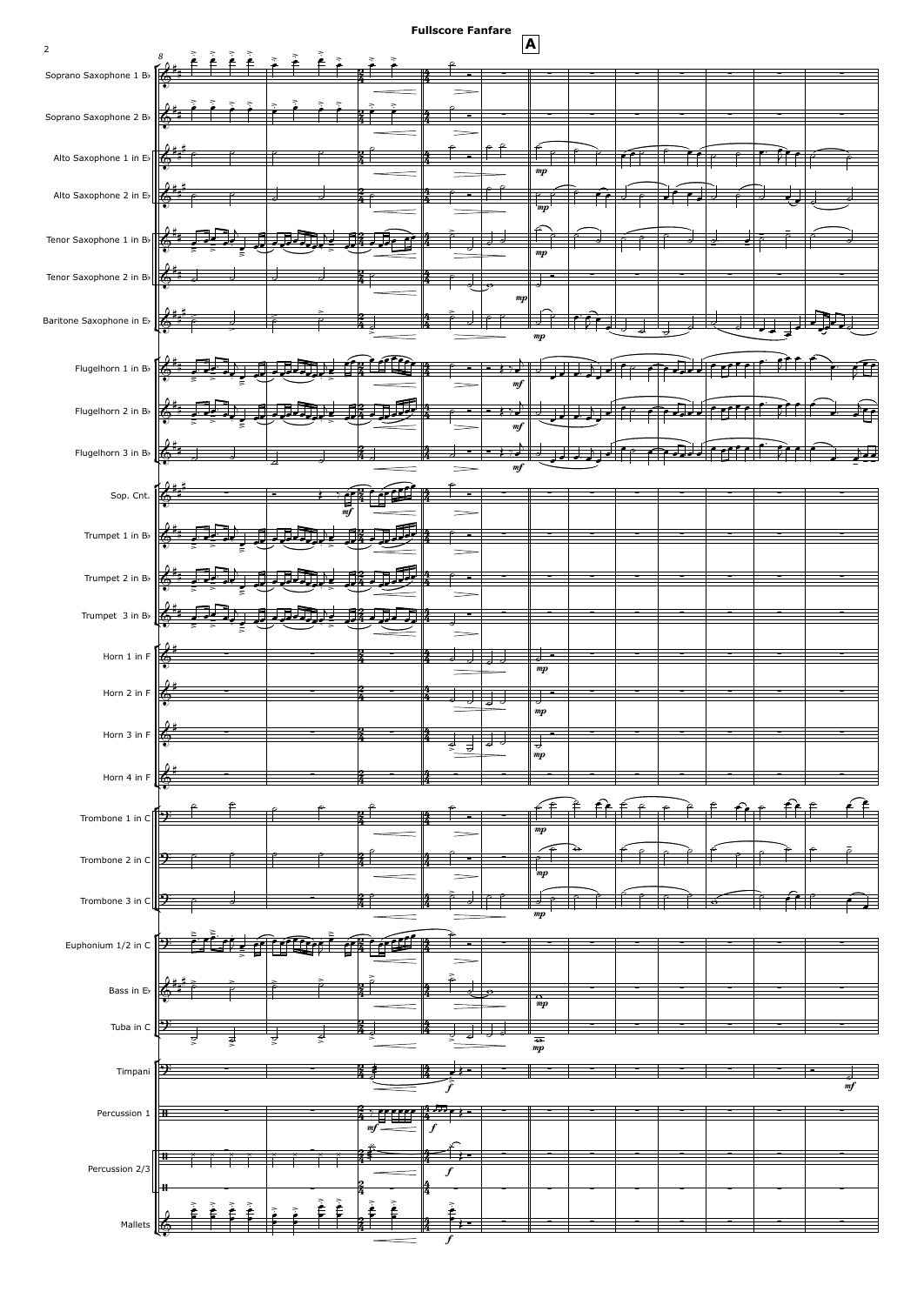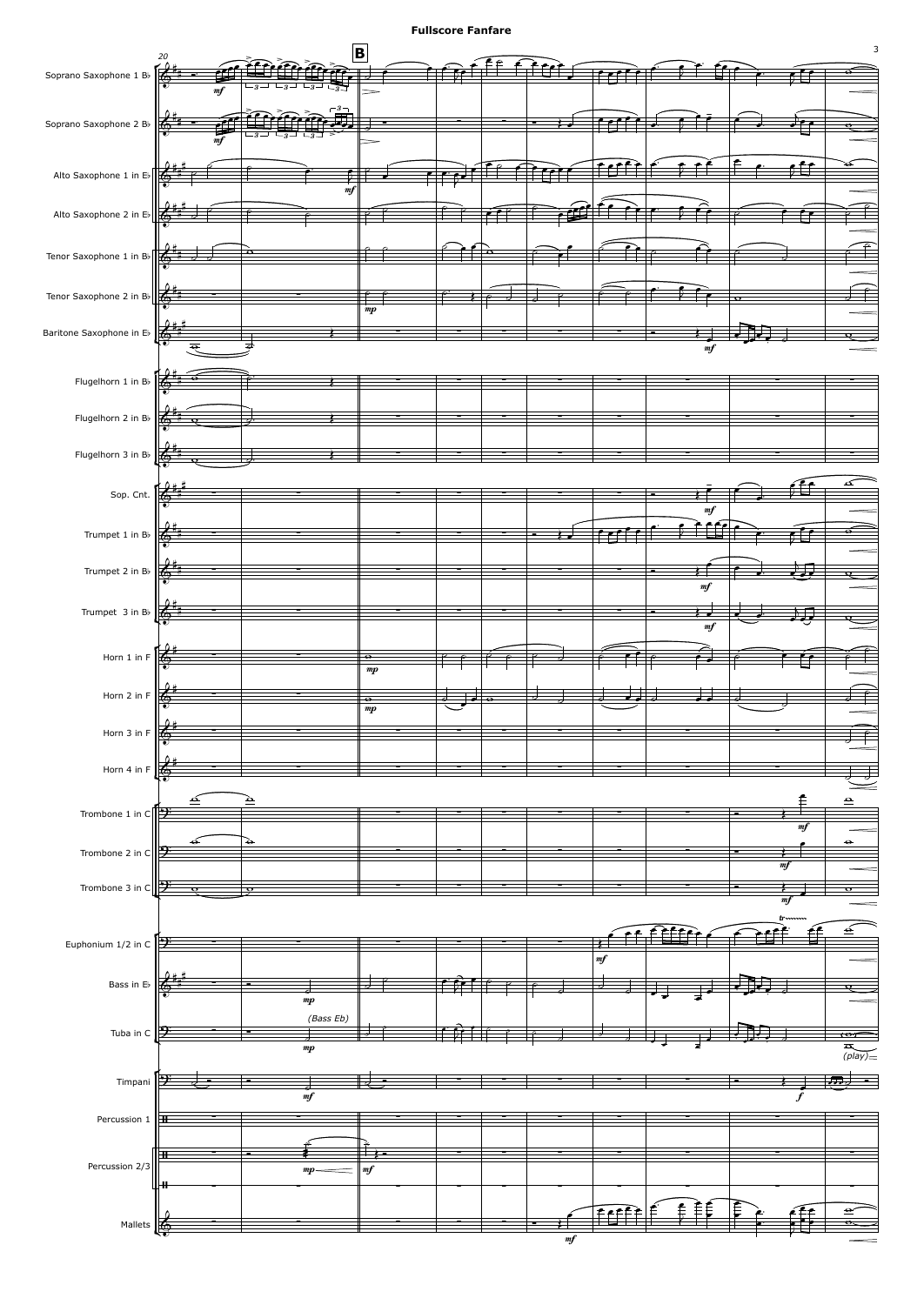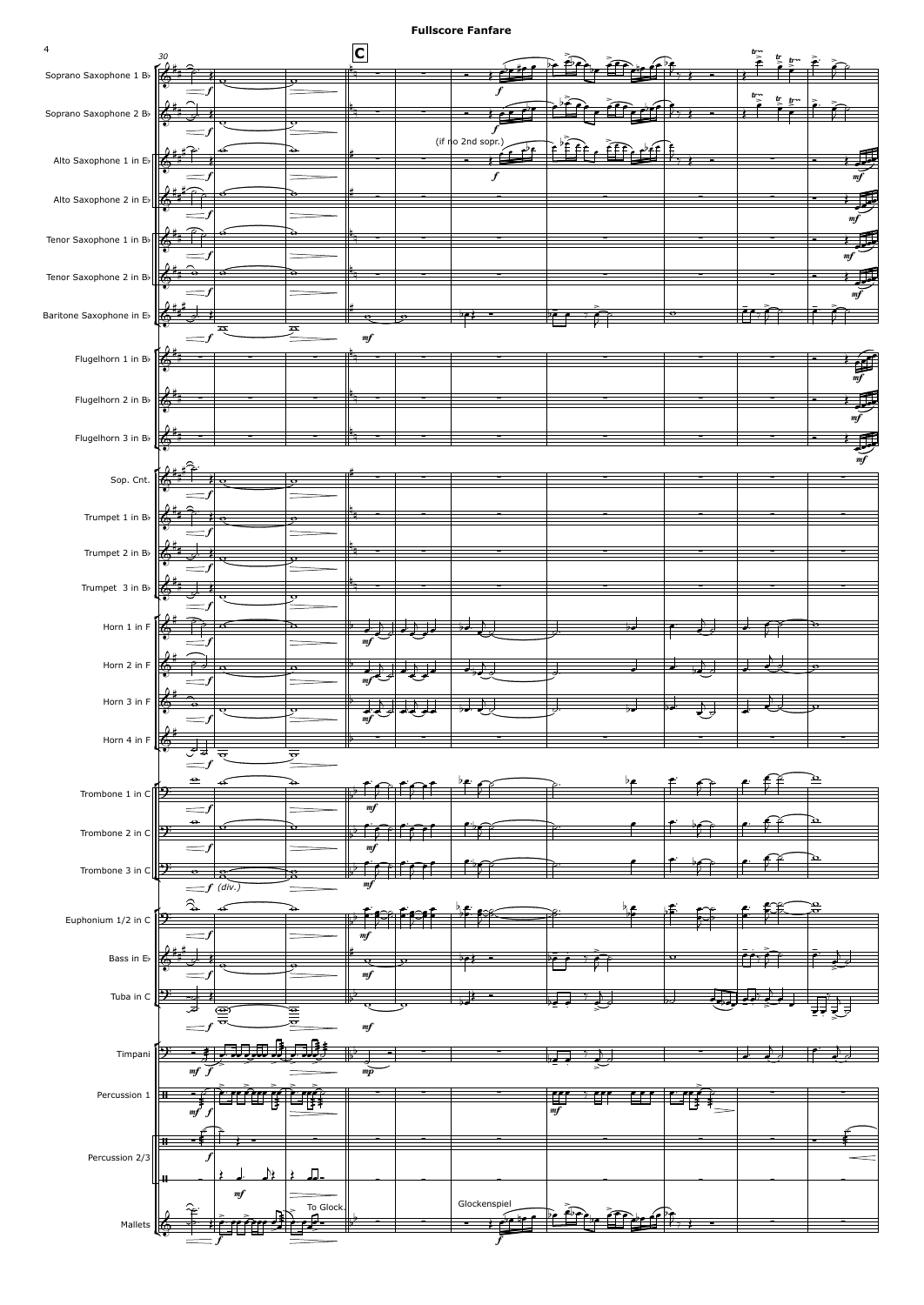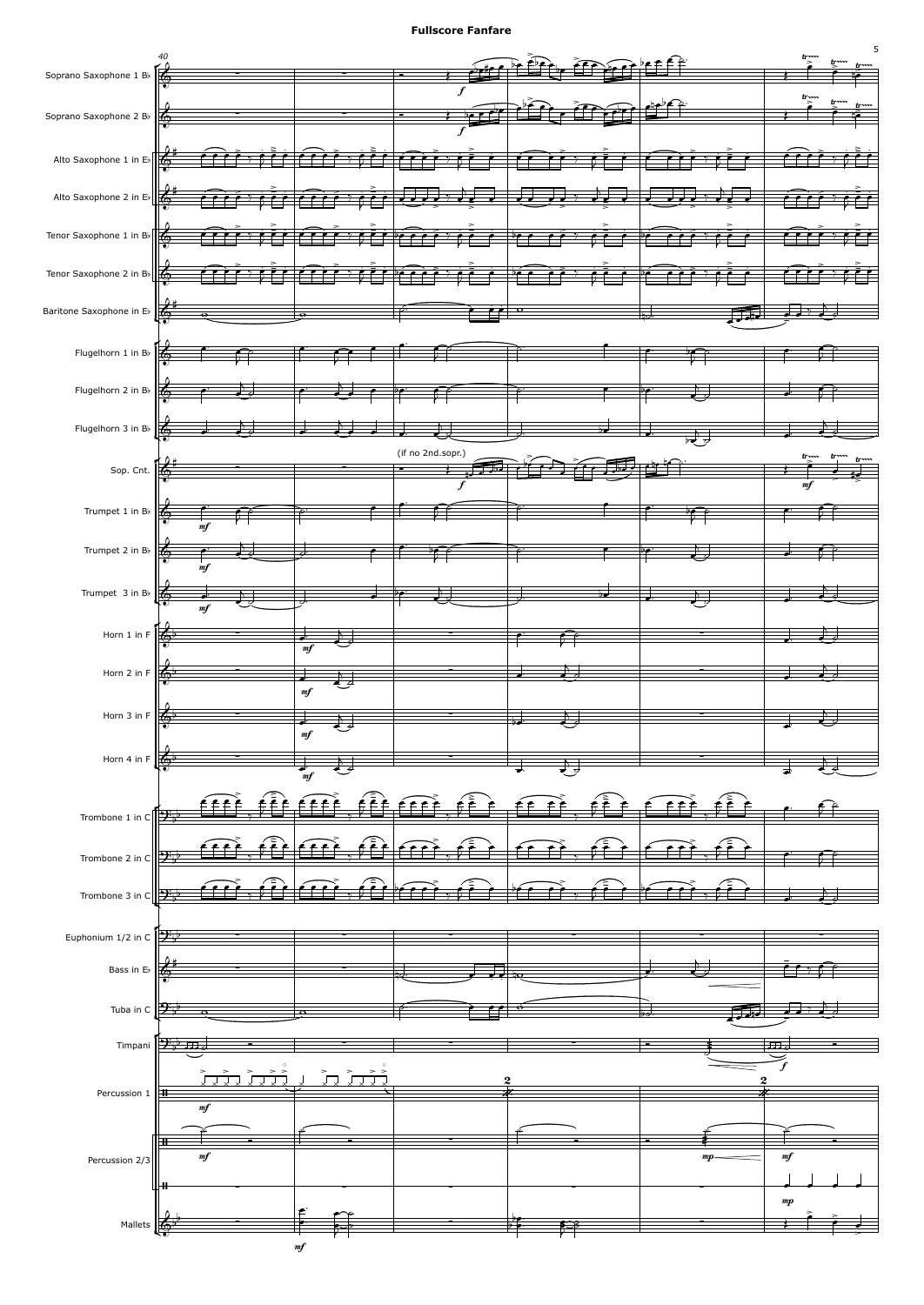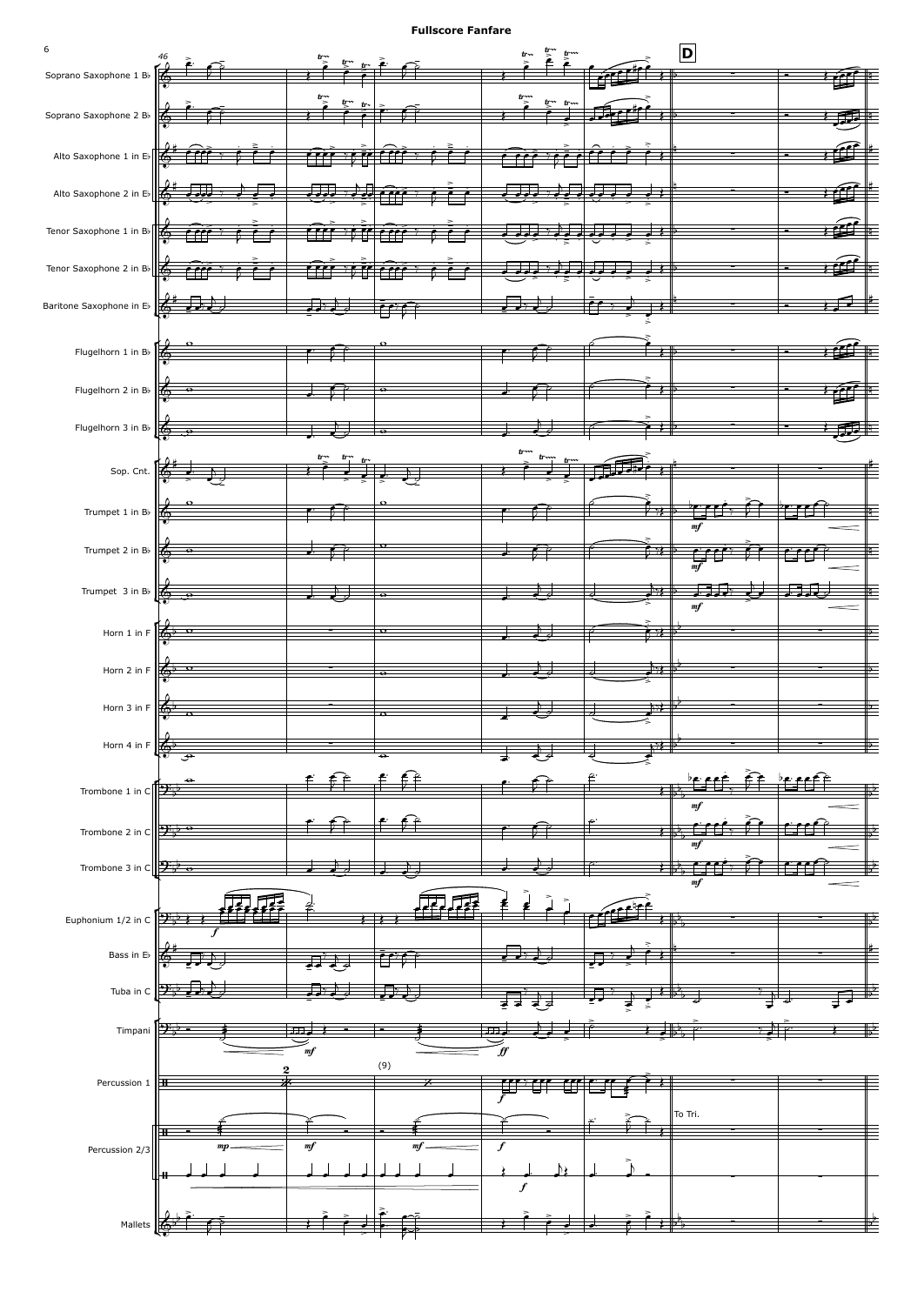

6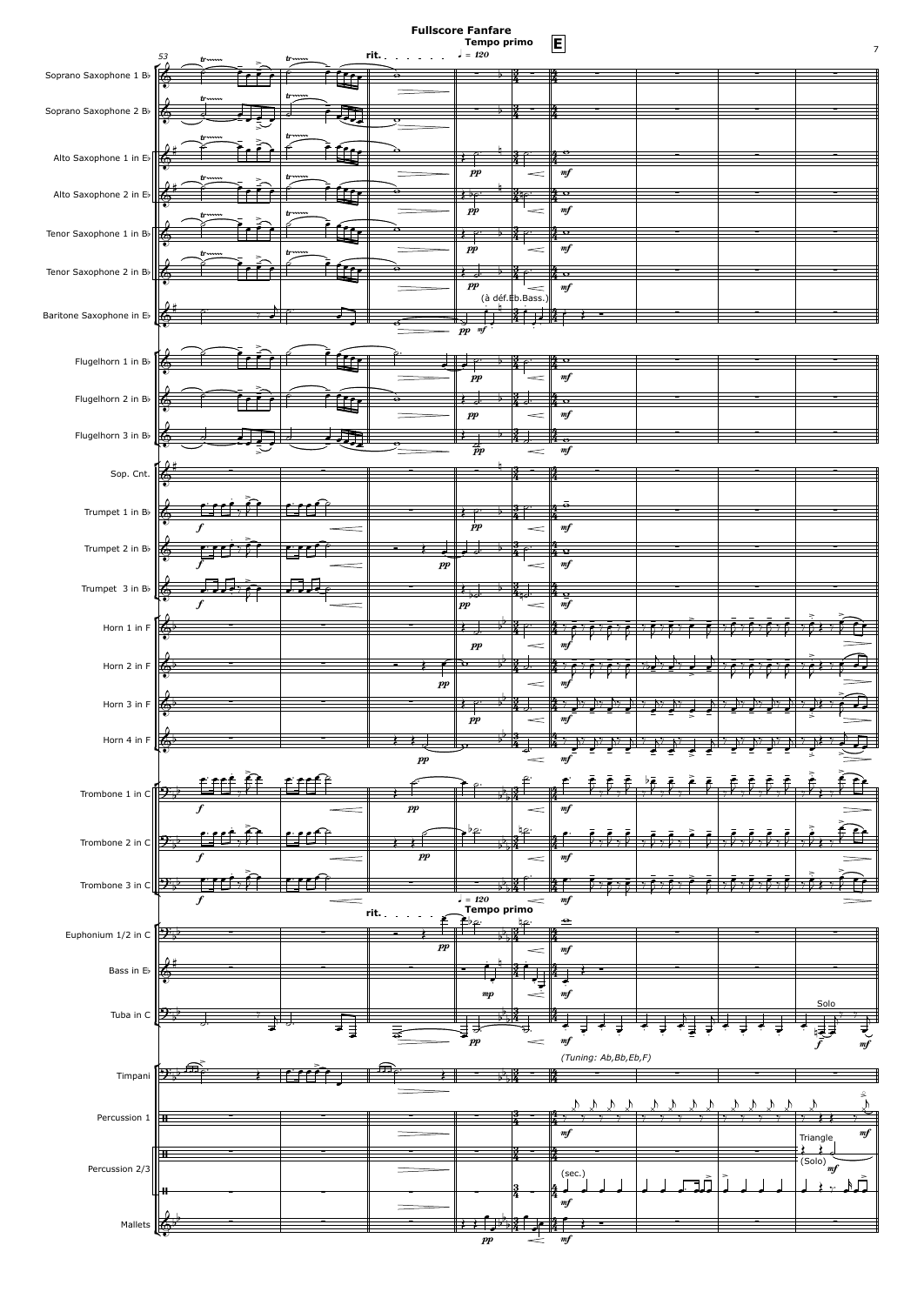## **Tempo** primo **E Fullscore Fanfare**

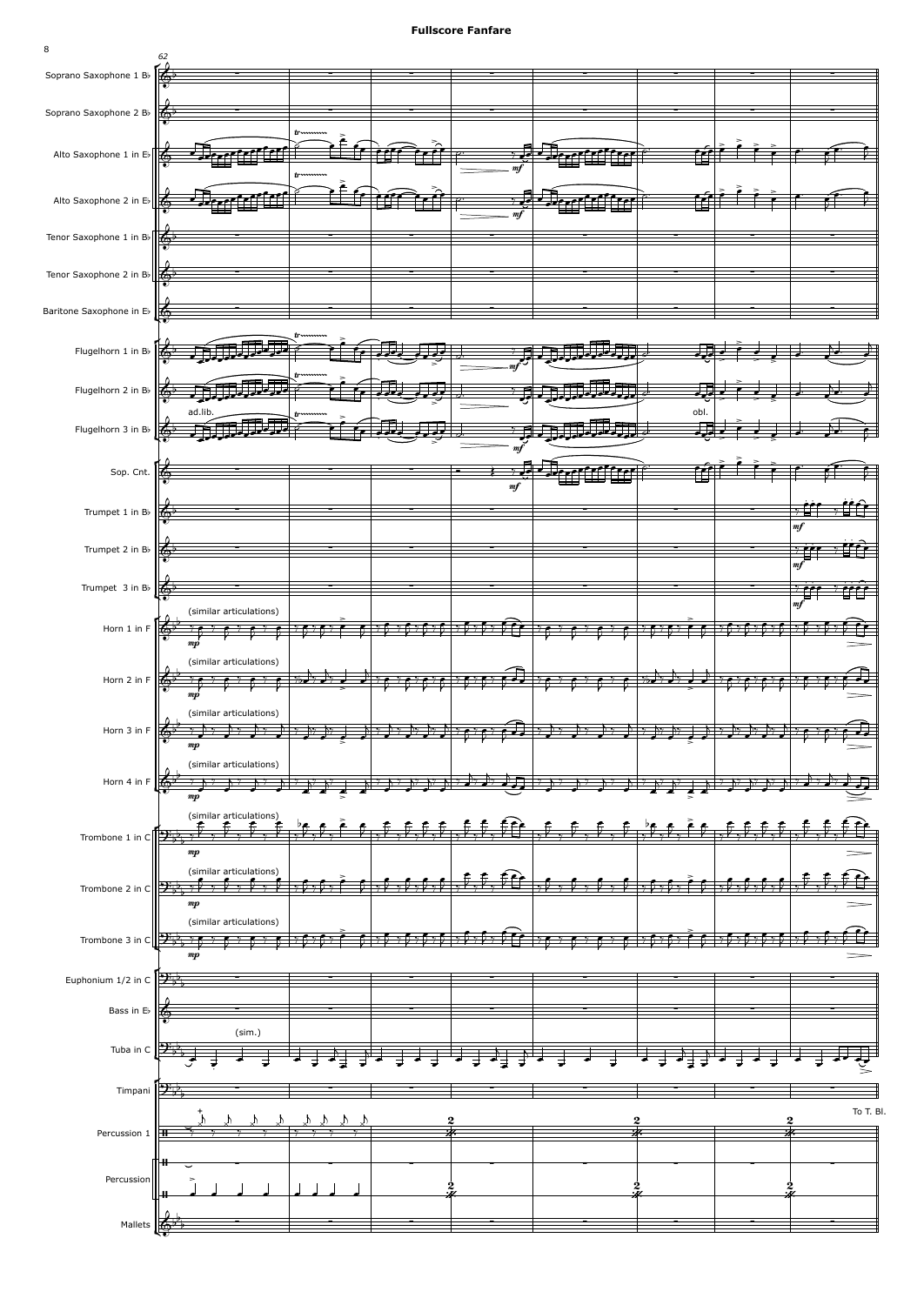

8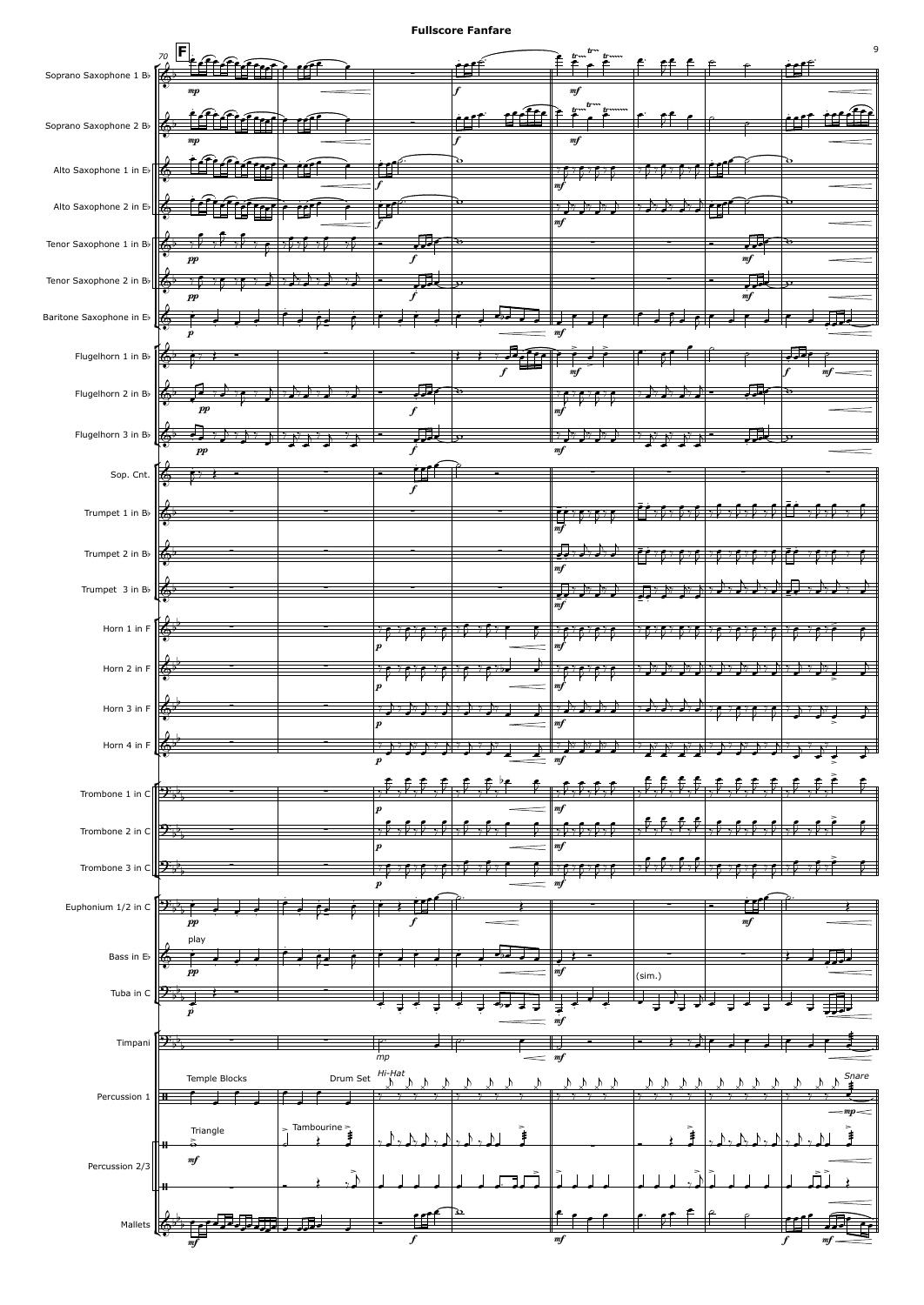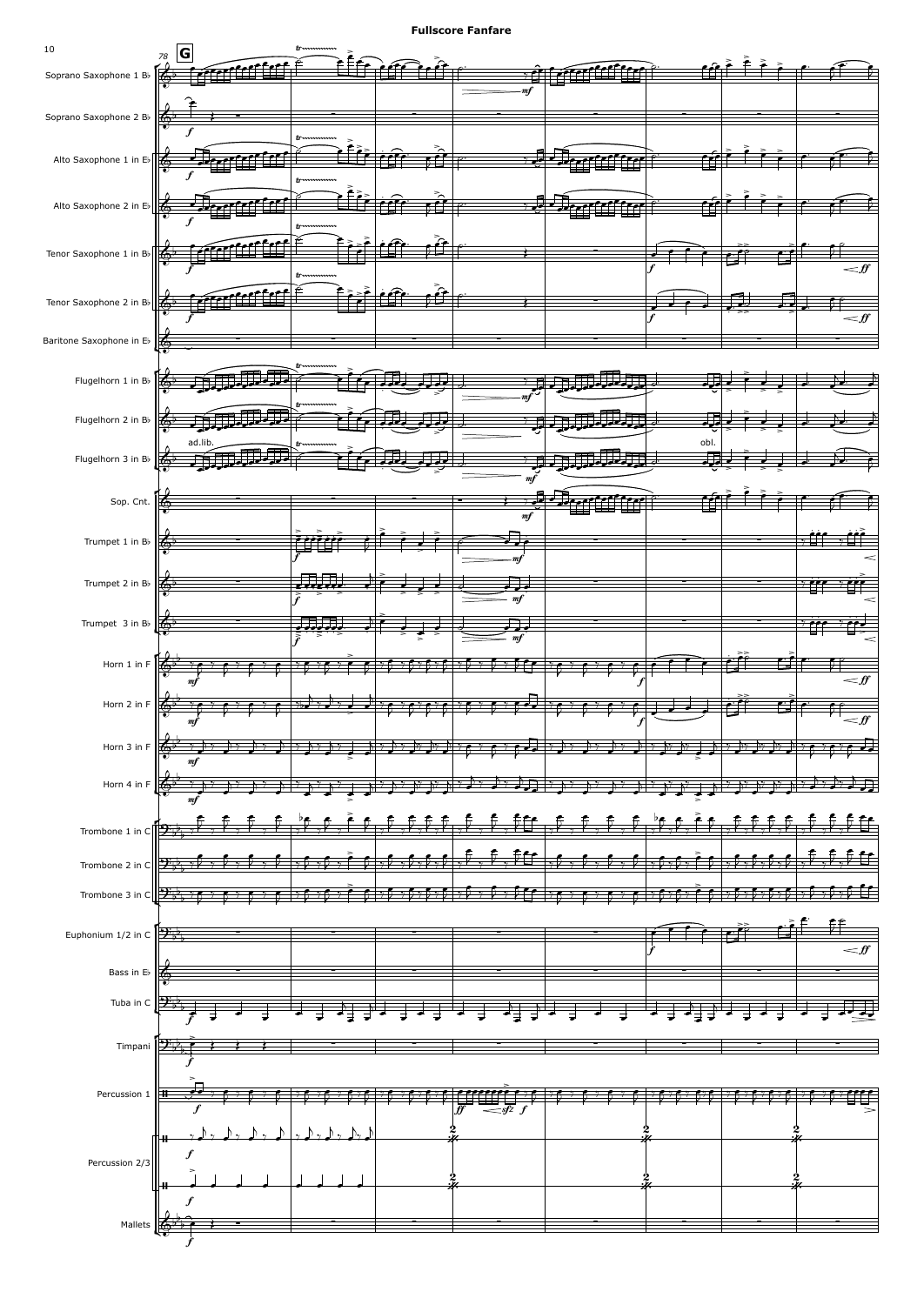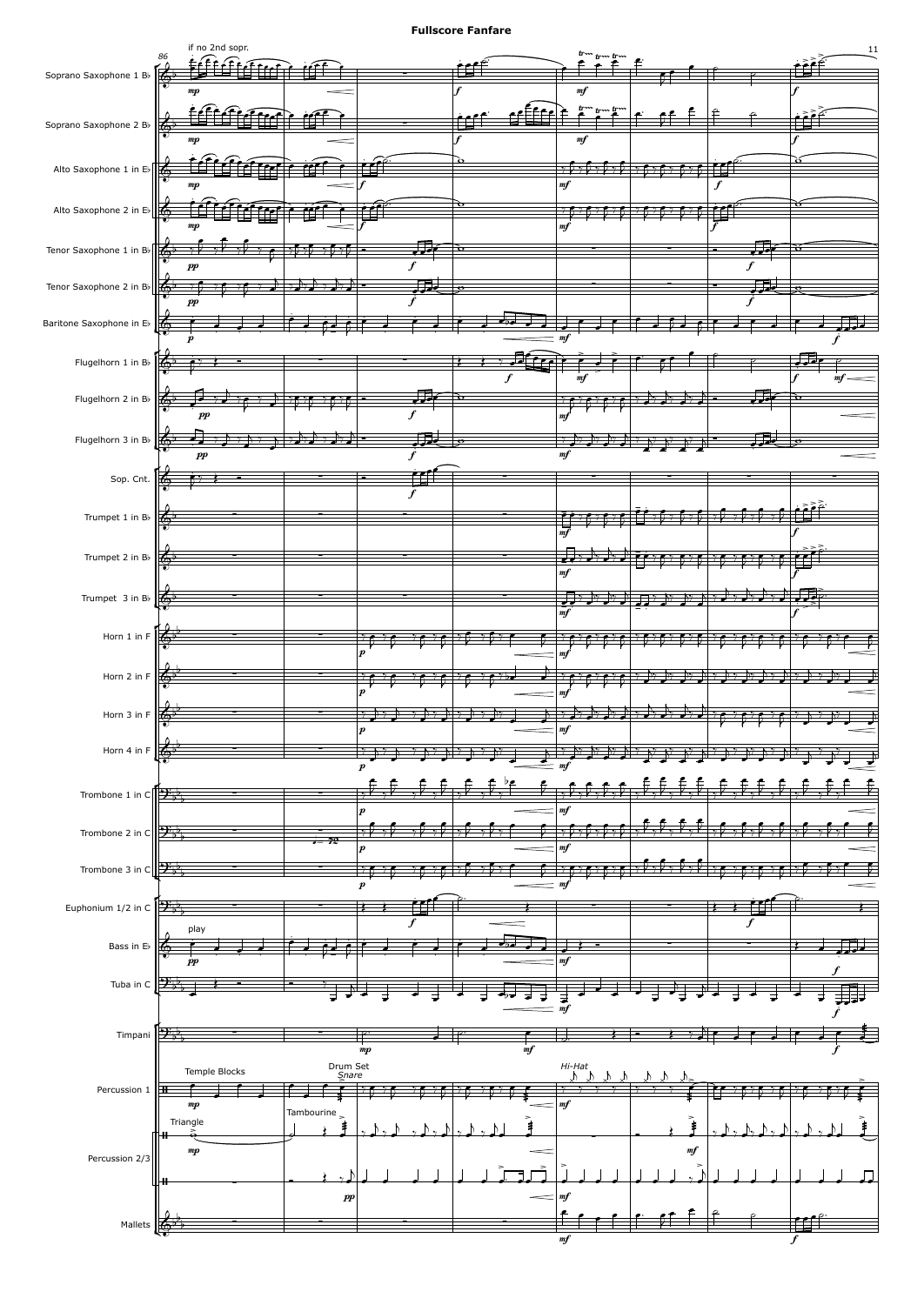![](_page_10_Figure_1.jpeg)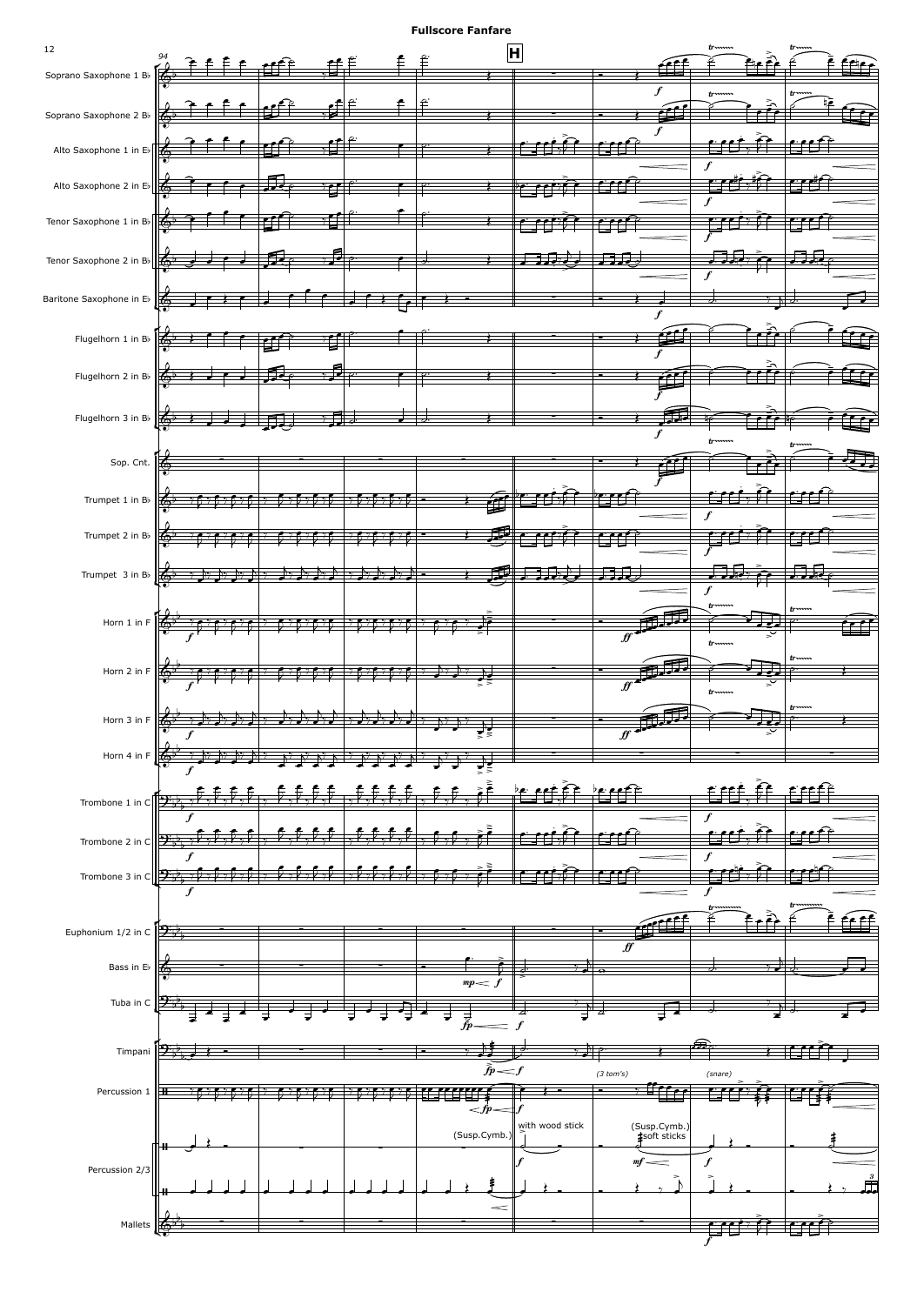![](_page_11_Figure_1.jpeg)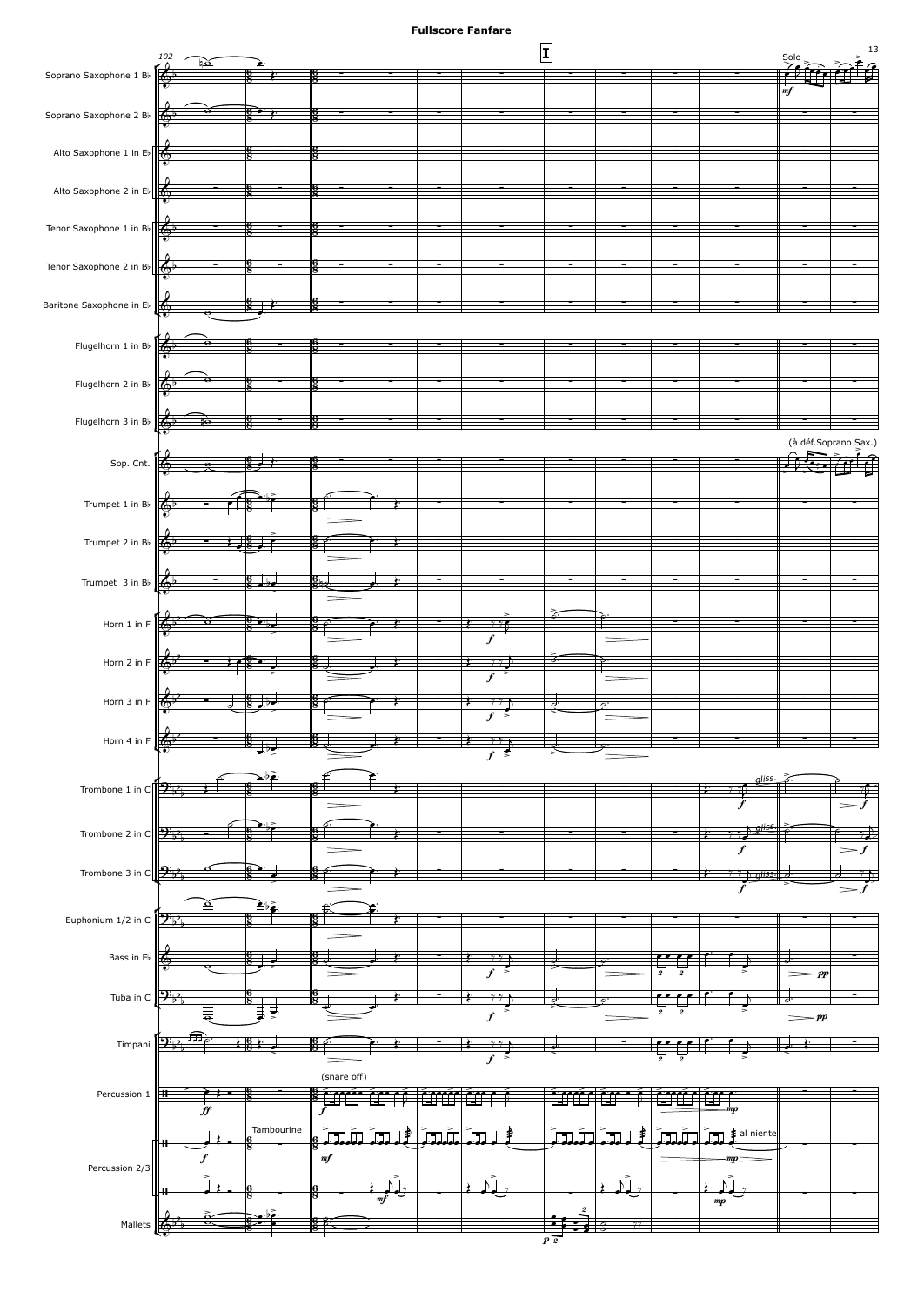![](_page_12_Figure_1.jpeg)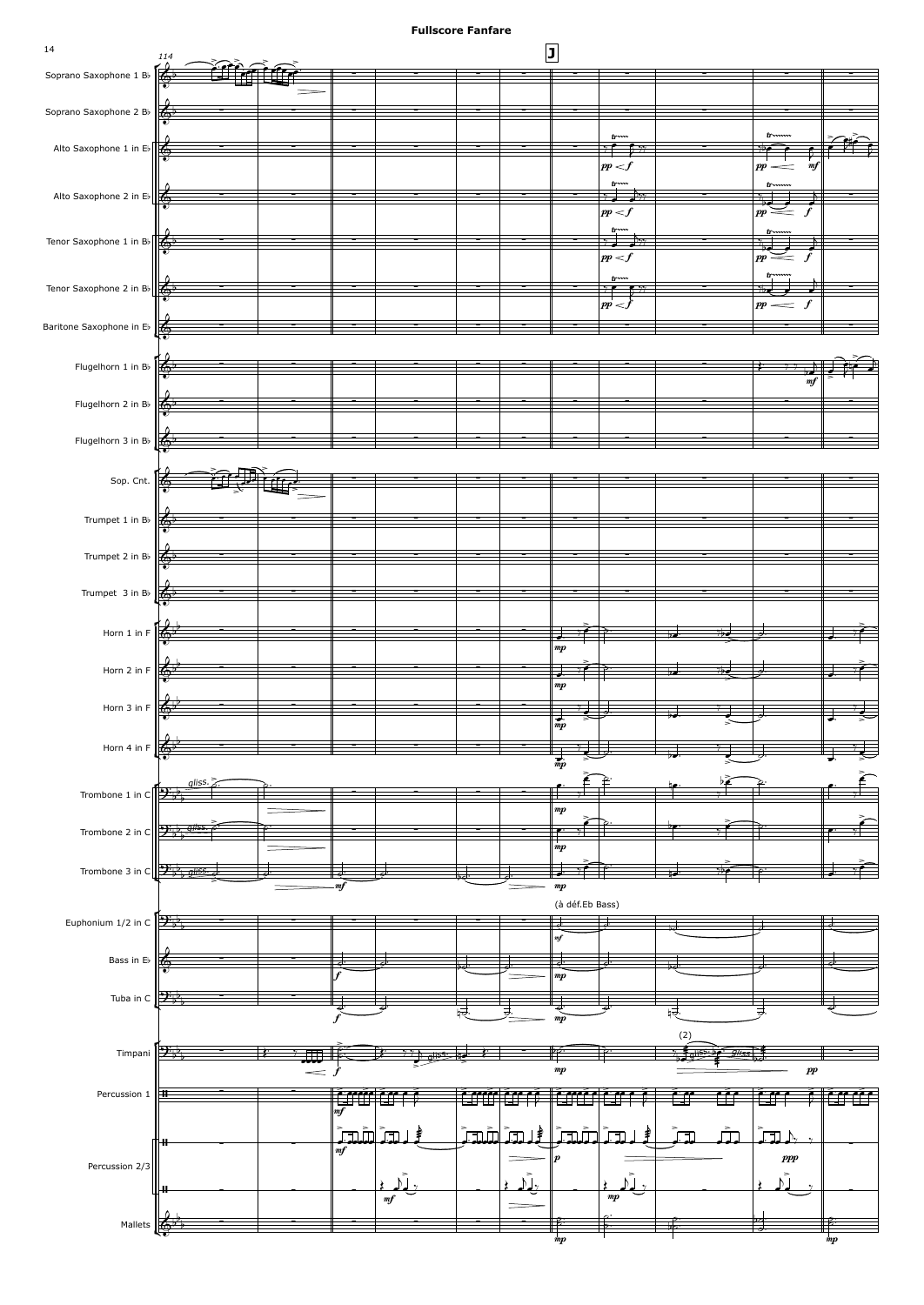![](_page_13_Figure_1.jpeg)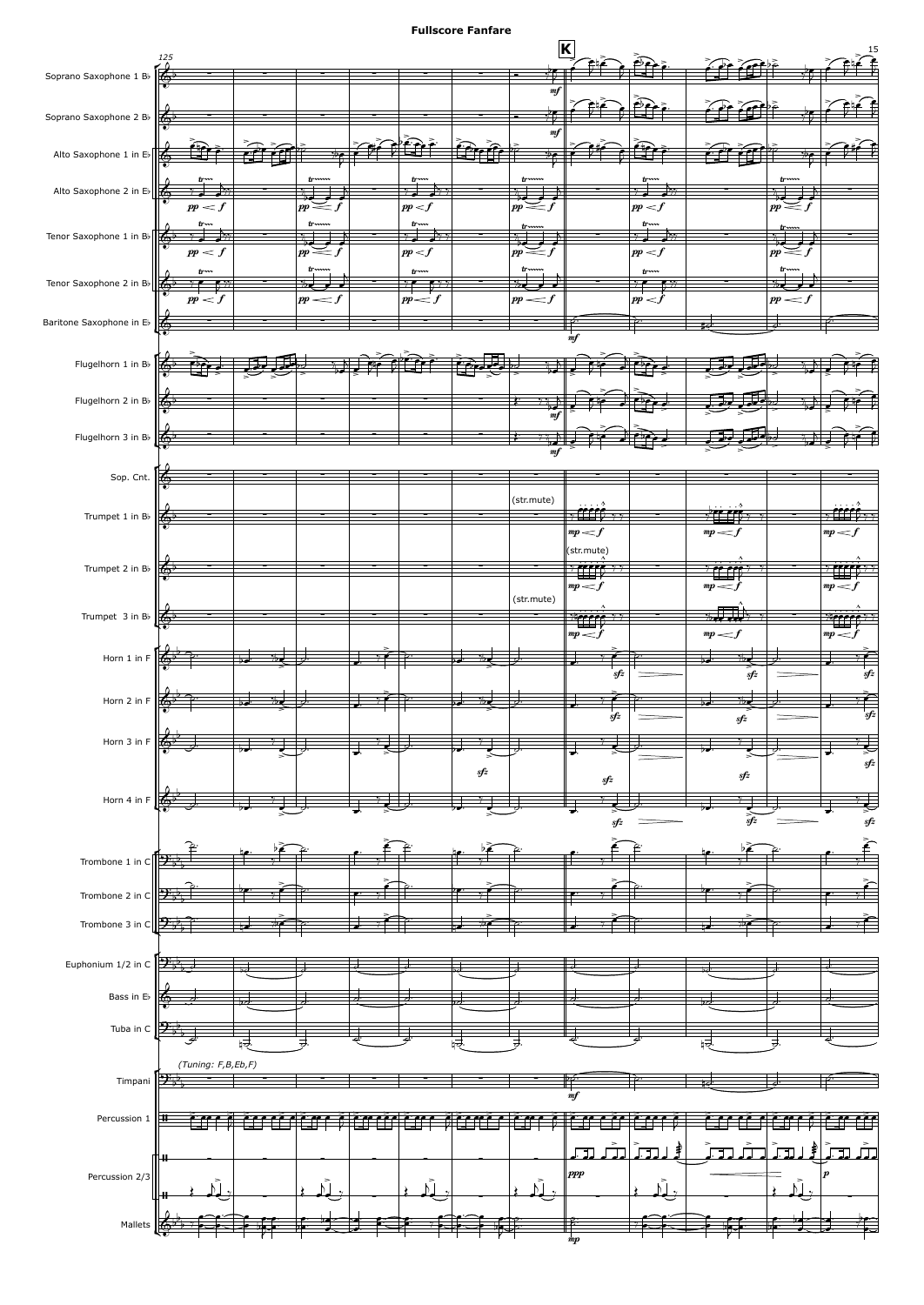![](_page_14_Figure_1.jpeg)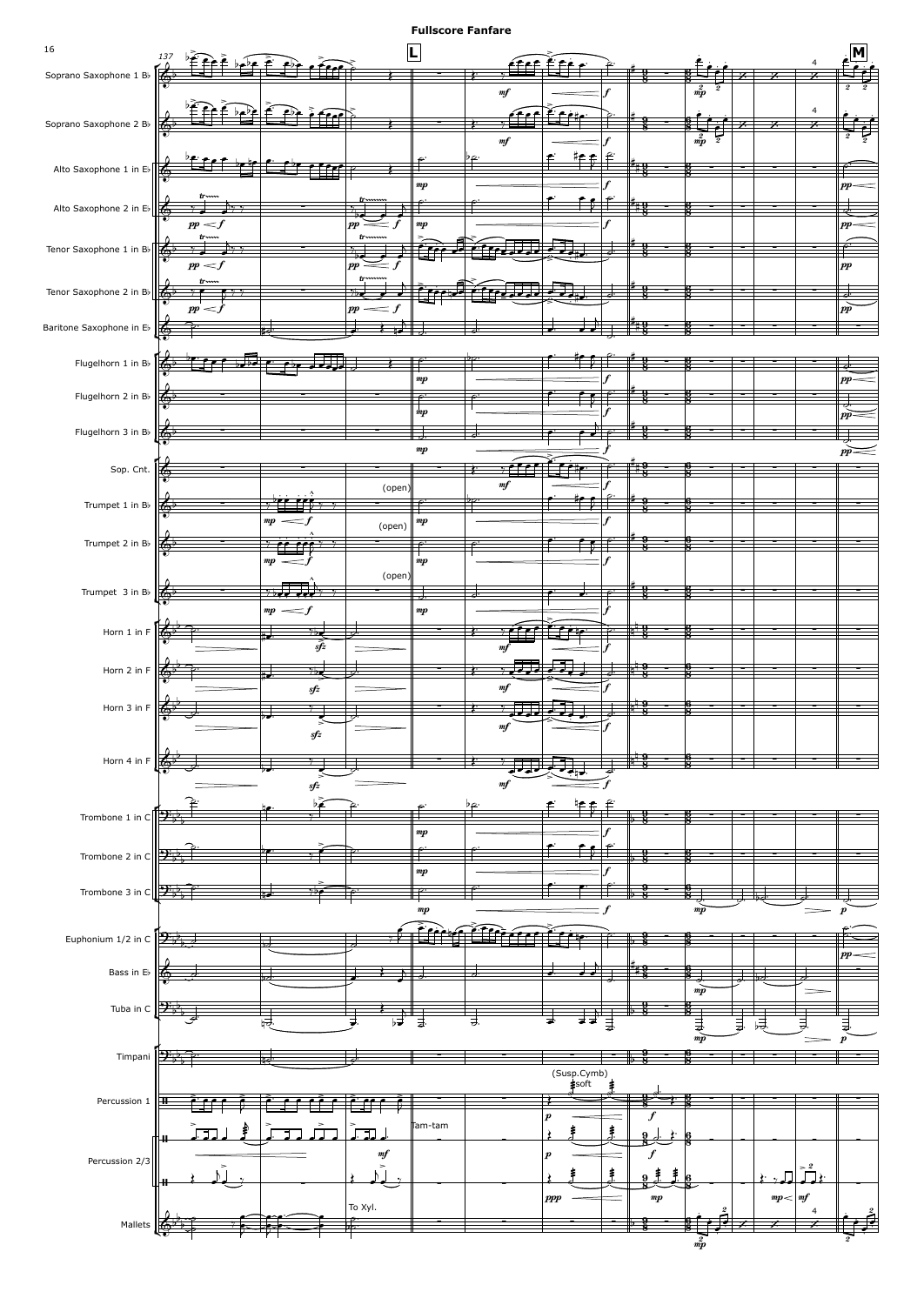![](_page_15_Figure_1.jpeg)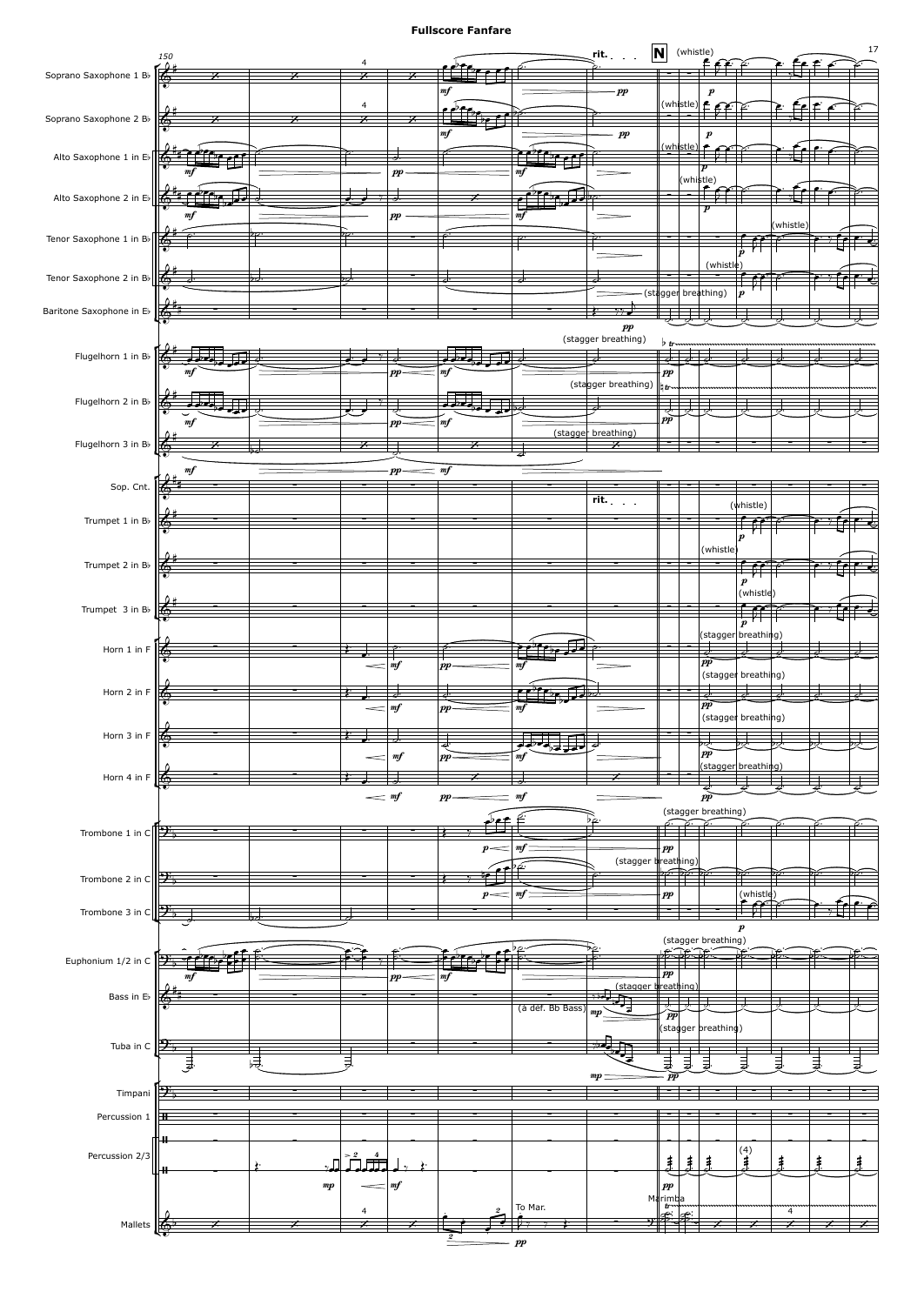![](_page_16_Figure_1.jpeg)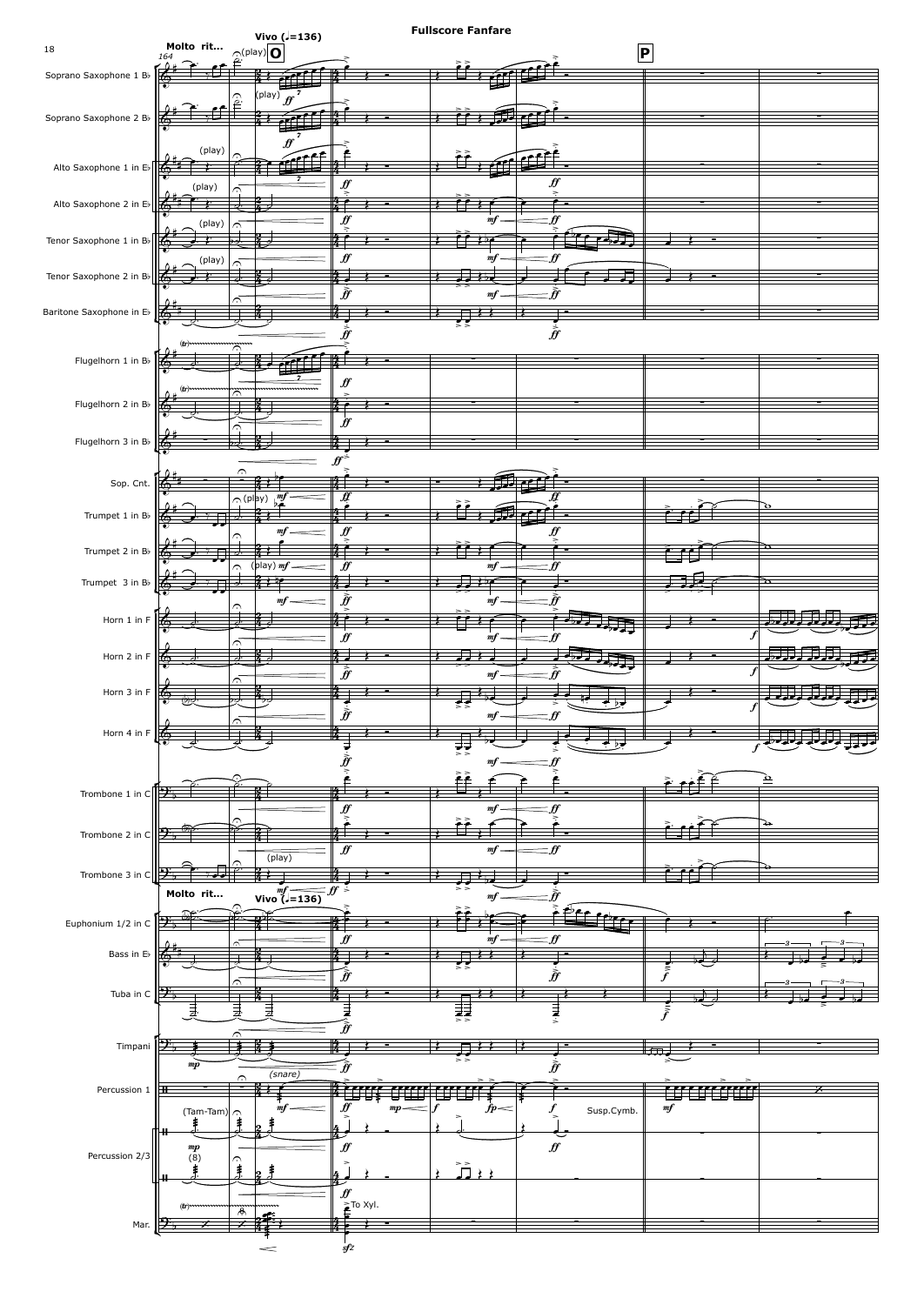![](_page_17_Figure_0.jpeg)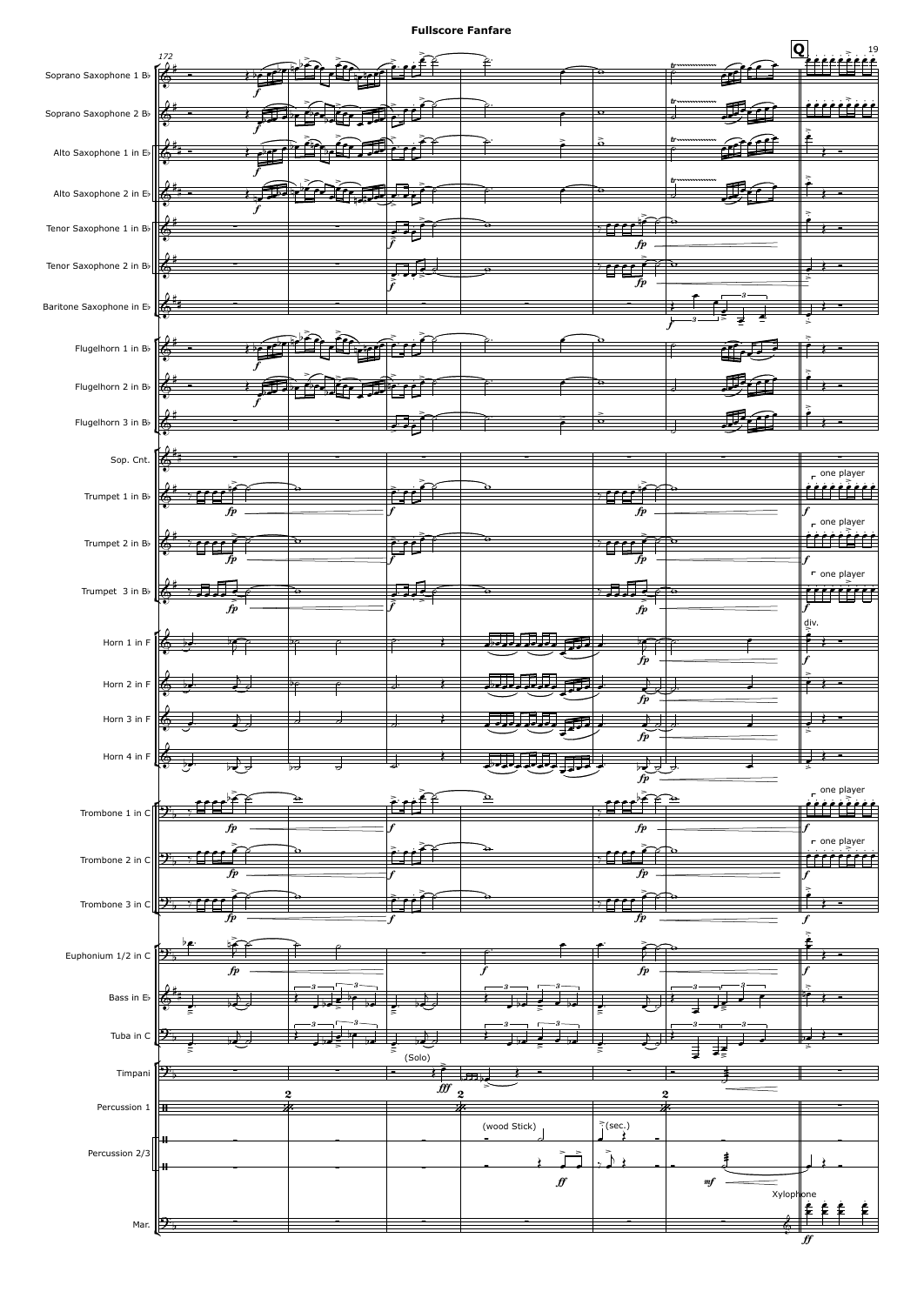![](_page_18_Figure_1.jpeg)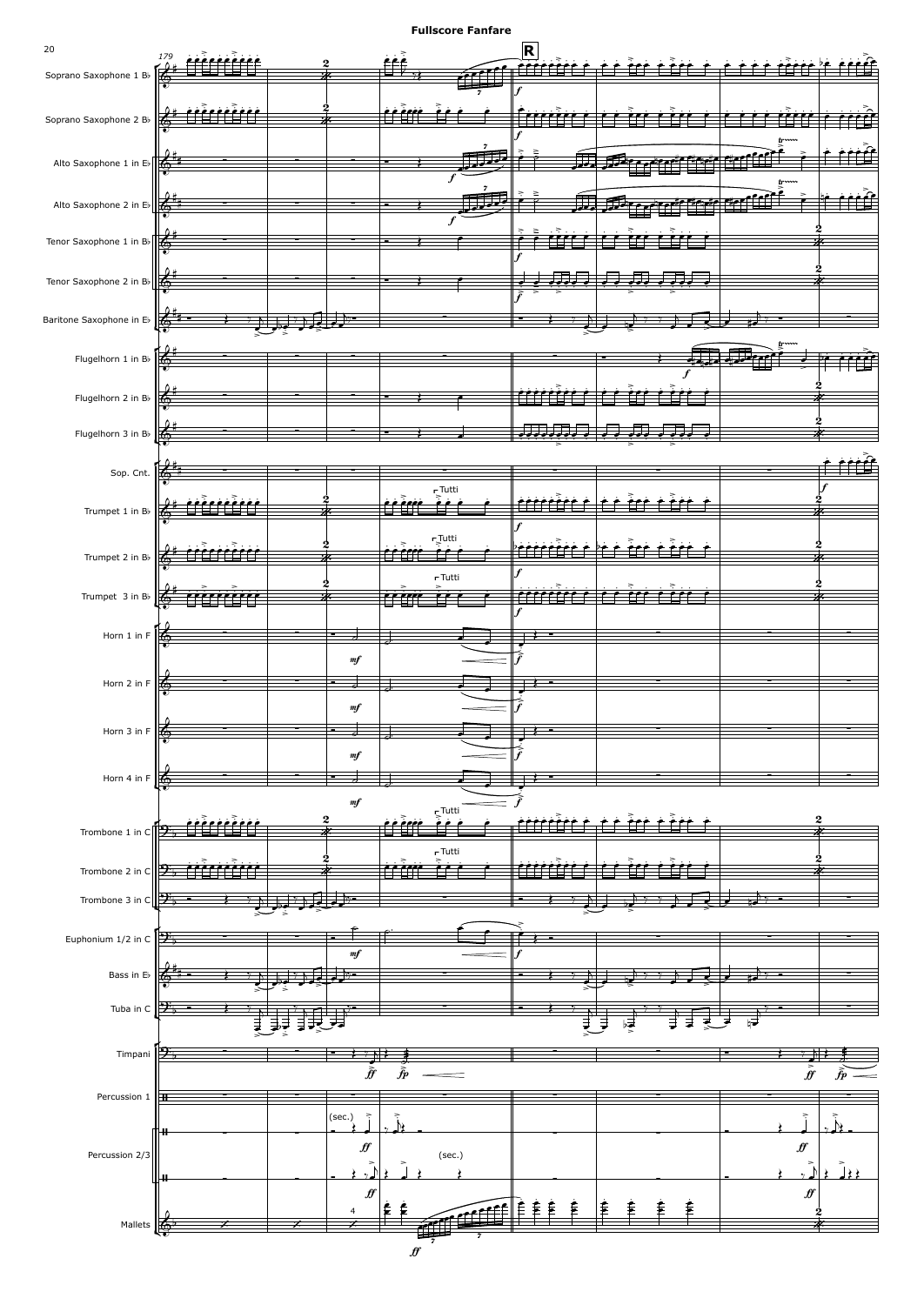![](_page_19_Figure_0.jpeg)

 $\hat{f}$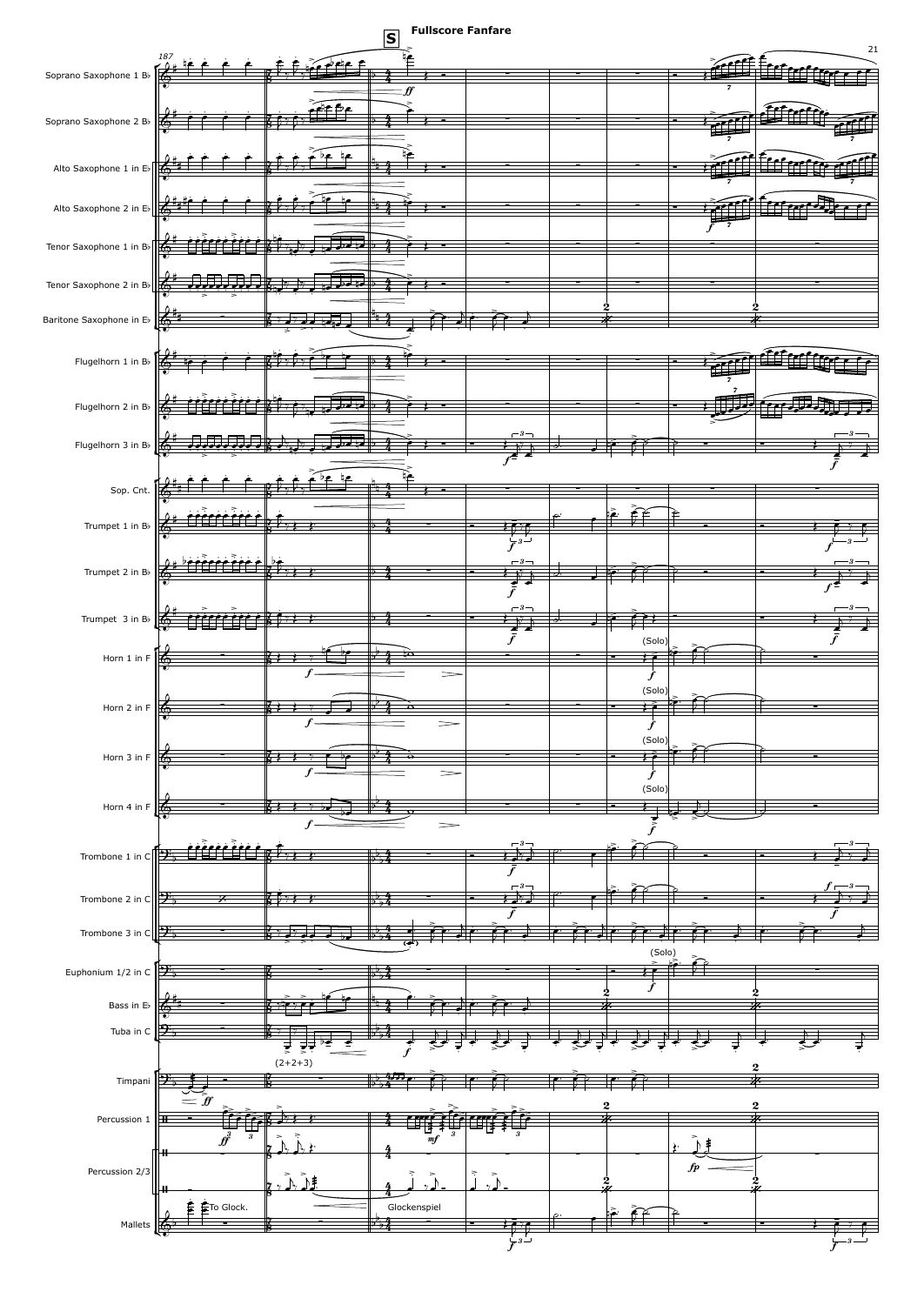![](_page_20_Figure_0.jpeg)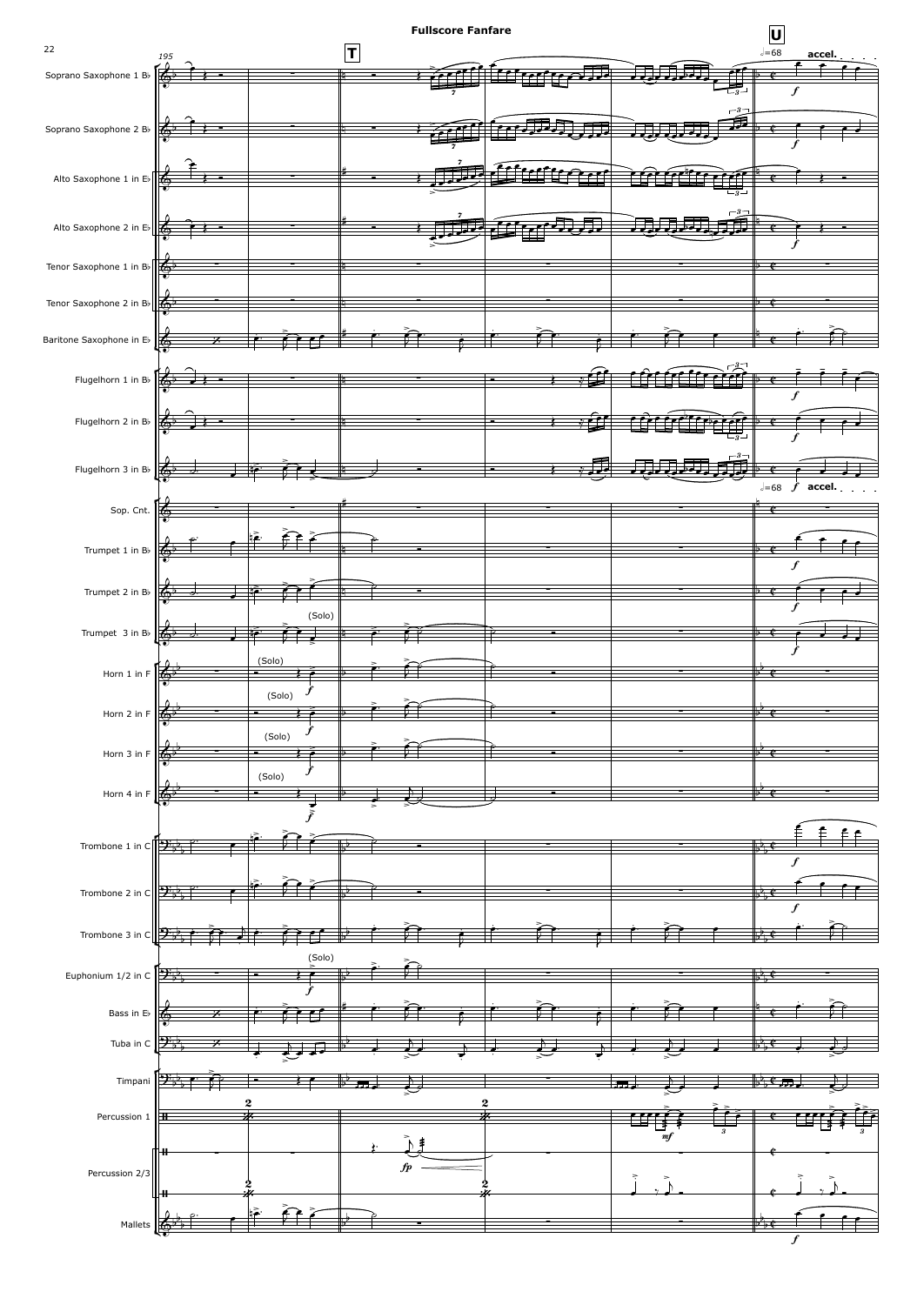![](_page_21_Figure_0.jpeg)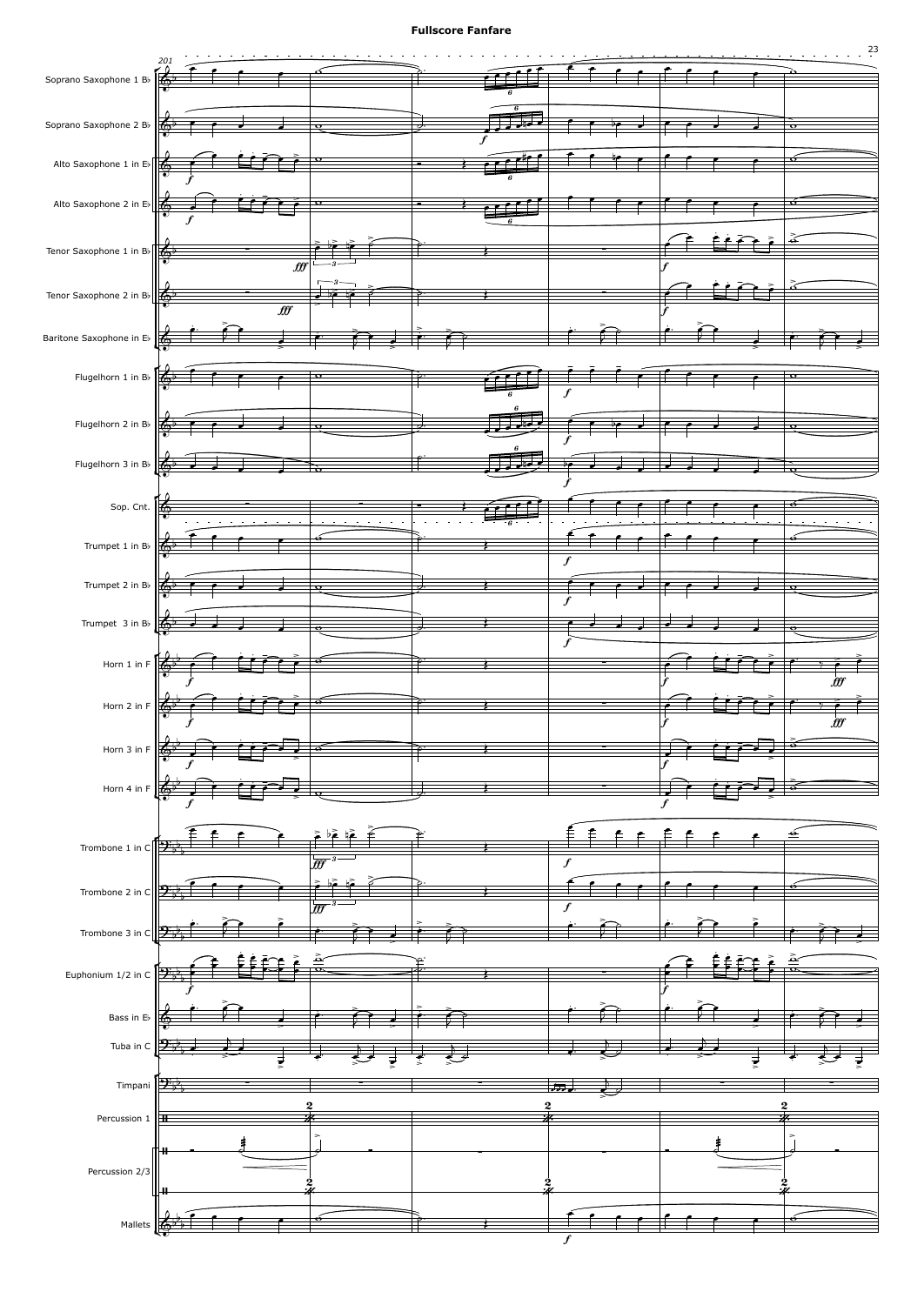![](_page_22_Figure_1.jpeg)